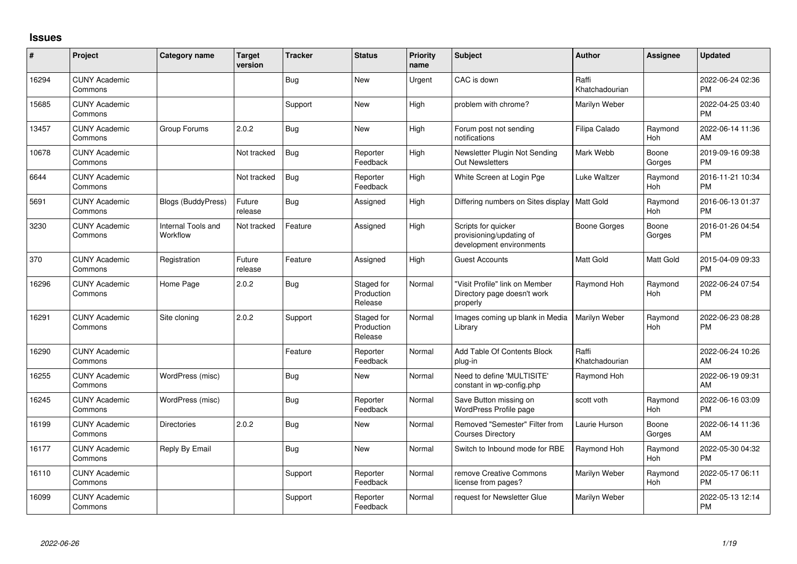## **Issues**

| $\#$  | Project                         | <b>Category name</b>           | <b>Target</b><br>version | <b>Tracker</b> | <b>Status</b>                       | <b>Priority</b><br>name | <b>Subject</b>                                                              | <b>Author</b>           | Assignee              | <b>Updated</b>                |
|-------|---------------------------------|--------------------------------|--------------------------|----------------|-------------------------------------|-------------------------|-----------------------------------------------------------------------------|-------------------------|-----------------------|-------------------------------|
| 16294 | <b>CUNY Academic</b><br>Commons |                                |                          | <b>Bug</b>     | <b>New</b>                          | Urgent                  | CAC is down                                                                 | Raffi<br>Khatchadourian |                       | 2022-06-24 02:36<br><b>PM</b> |
| 15685 | <b>CUNY Academic</b><br>Commons |                                |                          | Support        | <b>New</b>                          | High                    | problem with chrome?                                                        | Marilyn Weber           |                       | 2022-04-25 03:40<br><b>PM</b> |
| 13457 | <b>CUNY Academic</b><br>Commons | Group Forums                   | 2.0.2                    | <b>Bug</b>     | <b>New</b>                          | High                    | Forum post not sending<br>notifications                                     | Filipa Calado           | Raymond<br>Hoh        | 2022-06-14 11:36<br>AM        |
| 10678 | <b>CUNY Academic</b><br>Commons |                                | Not tracked              | <b>Bug</b>     | Reporter<br>Feedback                | High                    | Newsletter Plugin Not Sending<br><b>Out Newsletters</b>                     | Mark Webb               | Boone<br>Gorges       | 2019-09-16 09:38<br><b>PM</b> |
| 6644  | <b>CUNY Academic</b><br>Commons |                                | Not tracked              | Bug            | Reporter<br>Feedback                | High                    | White Screen at Login Pge                                                   | Luke Waltzer            | Raymond<br>Hoh        | 2016-11-21 10:34<br><b>PM</b> |
| 5691  | <b>CUNY Academic</b><br>Commons | <b>Blogs (BuddyPress)</b>      | Future<br>release        | <b>Bug</b>     | Assigned                            | High                    | Differing numbers on Sites display   Matt Gold                              |                         | Raymond<br>Hoh        | 2016-06-13 01:37<br><b>PM</b> |
| 3230  | <b>CUNY Academic</b><br>Commons | Internal Tools and<br>Workflow | Not tracked              | Feature        | Assigned                            | High                    | Scripts for quicker<br>provisioning/updating of<br>development environments | <b>Boone Gorges</b>     | Boone<br>Gorges       | 2016-01-26 04:54<br><b>PM</b> |
| 370   | <b>CUNY Academic</b><br>Commons | Registration                   | Future<br>release        | Feature        | Assigned                            | High                    | <b>Guest Accounts</b>                                                       | Matt Gold               | Matt Gold             | 2015-04-09 09:33<br><b>PM</b> |
| 16296 | <b>CUNY Academic</b><br>Commons | Home Page                      | 2.0.2                    | <b>Bug</b>     | Staged for<br>Production<br>Release | Normal                  | "Visit Profile" link on Member<br>Directory page doesn't work<br>properly   | Raymond Hoh             | Raymond<br>Hoh        | 2022-06-24 07:54<br><b>PM</b> |
| 16291 | <b>CUNY Academic</b><br>Commons | Site cloning                   | 2.0.2                    | Support        | Staged for<br>Production<br>Release | Normal                  | Images coming up blank in Media<br>Library                                  | Marilyn Weber           | Raymond<br><b>Hoh</b> | 2022-06-23 08:28<br><b>PM</b> |
| 16290 | <b>CUNY Academic</b><br>Commons |                                |                          | Feature        | Reporter<br>Feedback                | Normal                  | Add Table Of Contents Block<br>plug-in                                      | Raffi<br>Khatchadourian |                       | 2022-06-24 10:26<br>AM        |
| 16255 | <b>CUNY Academic</b><br>Commons | WordPress (misc)               |                          | Bug            | New                                 | Normal                  | Need to define 'MULTISITE'<br>constant in wp-config.php                     | Raymond Hoh             |                       | 2022-06-19 09:31<br>AM        |
| 16245 | <b>CUNY Academic</b><br>Commons | WordPress (misc)               |                          | <b>Bug</b>     | Reporter<br>Feedback                | Normal                  | Save Button missing on<br>WordPress Profile page                            | scott voth              | Raymond<br>Hoh        | 2022-06-16 03:09<br><b>PM</b> |
| 16199 | <b>CUNY Academic</b><br>Commons | <b>Directories</b>             | 2.0.2                    | <b>Bug</b>     | <b>New</b>                          | Normal                  | Removed "Semester" Filter from<br><b>Courses Directory</b>                  | Laurie Hurson           | Boone<br>Gorges       | 2022-06-14 11:36<br>AM        |
| 16177 | <b>CUNY Academic</b><br>Commons | Reply By Email                 |                          | Bug            | <b>New</b>                          | Normal                  | Switch to Inbound mode for RBE                                              | Raymond Hoh             | Raymond<br>Hoh        | 2022-05-30 04:32<br><b>PM</b> |
| 16110 | <b>CUNY Academic</b><br>Commons |                                |                          | Support        | Reporter<br>Feedback                | Normal                  | remove Creative Commons<br>license from pages?                              | Marilyn Weber           | Raymond<br>Hoh        | 2022-05-17 06:11<br><b>PM</b> |
| 16099 | <b>CUNY Academic</b><br>Commons |                                |                          | Support        | Reporter<br>Feedback                | Normal                  | request for Newsletter Glue                                                 | Marilyn Weber           |                       | 2022-05-13 12:14<br><b>PM</b> |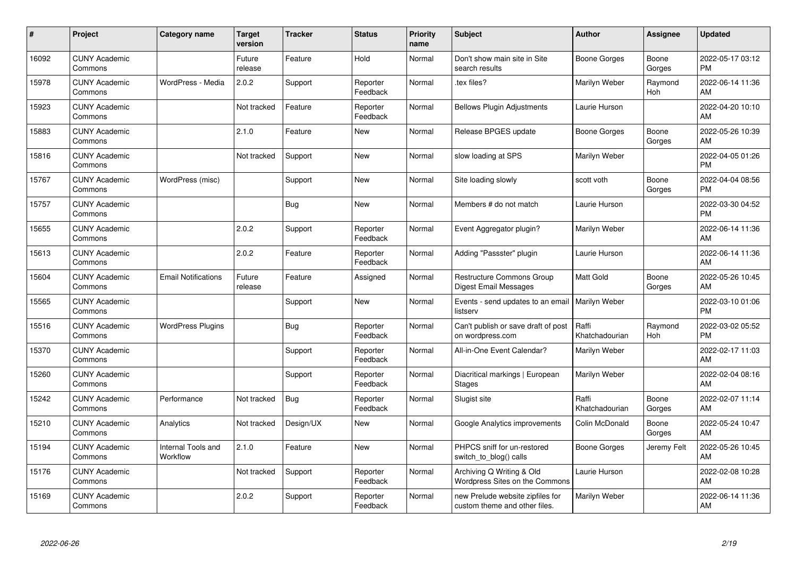| #     | Project                         | <b>Category name</b>           | <b>Target</b><br>version | <b>Tracker</b> | <b>Status</b>        | <b>Priority</b><br>name | <b>Subject</b>                                                    | Author                  | <b>Assignee</b>       | <b>Updated</b>                |
|-------|---------------------------------|--------------------------------|--------------------------|----------------|----------------------|-------------------------|-------------------------------------------------------------------|-------------------------|-----------------------|-------------------------------|
| 16092 | <b>CUNY Academic</b><br>Commons |                                | Future<br>release        | Feature        | Hold                 | Normal                  | Don't show main site in Site<br>search results                    | <b>Boone Gorges</b>     | Boone<br>Gorges       | 2022-05-17 03:12<br><b>PM</b> |
| 15978 | <b>CUNY Academic</b><br>Commons | WordPress - Media              | 2.0.2                    | Support        | Reporter<br>Feedback | Normal                  | .tex files?                                                       | Marilyn Weber           | Raymond<br><b>Hoh</b> | 2022-06-14 11:36<br>AM        |
| 15923 | <b>CUNY Academic</b><br>Commons |                                | Not tracked              | Feature        | Reporter<br>Feedback | Normal                  | <b>Bellows Plugin Adjustments</b>                                 | Laurie Hurson           |                       | 2022-04-20 10:10<br>AM        |
| 15883 | <b>CUNY Academic</b><br>Commons |                                | 2.1.0                    | Feature        | <b>New</b>           | Normal                  | Release BPGES update                                              | Boone Gorges            | Boone<br>Gorges       | 2022-05-26 10:39<br>AM        |
| 15816 | <b>CUNY Academic</b><br>Commons |                                | Not tracked              | Support        | <b>New</b>           | Normal                  | slow loading at SPS                                               | Marilyn Weber           |                       | 2022-04-05 01:26<br><b>PM</b> |
| 15767 | <b>CUNY Academic</b><br>Commons | WordPress (misc)               |                          | Support        | New                  | Normal                  | Site loading slowly                                               | scott voth              | Boone<br>Gorges       | 2022-04-04 08:56<br><b>PM</b> |
| 15757 | <b>CUNY Academic</b><br>Commons |                                |                          | <b>Bug</b>     | <b>New</b>           | Normal                  | Members # do not match                                            | Laurie Hurson           |                       | 2022-03-30 04:52<br><b>PM</b> |
| 15655 | <b>CUNY Academic</b><br>Commons |                                | 2.0.2                    | Support        | Reporter<br>Feedback | Normal                  | Event Aggregator plugin?                                          | Marilyn Weber           |                       | 2022-06-14 11:36<br>AM        |
| 15613 | <b>CUNY Academic</b><br>Commons |                                | 2.0.2                    | Feature        | Reporter<br>Feedback | Normal                  | Adding "Passster" plugin                                          | Laurie Hurson           |                       | 2022-06-14 11:36<br>AM        |
| 15604 | <b>CUNY Academic</b><br>Commons | <b>Email Notifications</b>     | Future<br>release        | Feature        | Assigned             | Normal                  | Restructure Commons Group<br>Digest Email Messages                | Matt Gold               | Boone<br>Gorges       | 2022-05-26 10:45<br>AM        |
| 15565 | <b>CUNY Academic</b><br>Commons |                                |                          | Support        | <b>New</b>           | Normal                  | Events - send updates to an emai<br>listserv                      | Marilyn Weber           |                       | 2022-03-10 01:06<br><b>PM</b> |
| 15516 | <b>CUNY Academic</b><br>Commons | <b>WordPress Plugins</b>       |                          | Bug            | Reporter<br>Feedback | Normal                  | Can't publish or save draft of post<br>on wordpress.com           | Raffi<br>Khatchadourian | Raymond<br>Hoh        | 2022-03-02 05:52<br><b>PM</b> |
| 15370 | <b>CUNY Academic</b><br>Commons |                                |                          | Support        | Reporter<br>Feedback | Normal                  | All-in-One Event Calendar?                                        | Marilyn Weber           |                       | 2022-02-17 11:03<br>AM        |
| 15260 | <b>CUNY Academic</b><br>Commons |                                |                          | Support        | Reporter<br>Feedback | Normal                  | Diacritical markings   European<br><b>Stages</b>                  | Marilyn Weber           |                       | 2022-02-04 08:16<br>AM        |
| 15242 | <b>CUNY Academic</b><br>Commons | Performance                    | Not tracked              | Bug            | Reporter<br>Feedback | Normal                  | Slugist site                                                      | Raffi<br>Khatchadourian | Boone<br>Gorges       | 2022-02-07 11:14<br>AM        |
| 15210 | <b>CUNY Academic</b><br>Commons | Analytics                      | Not tracked              | Design/UX      | <b>New</b>           | Normal                  | Google Analytics improvements                                     | Colin McDonald          | Boone<br>Gorges       | 2022-05-24 10:47<br>AM        |
| 15194 | <b>CUNY Academic</b><br>Commons | Internal Tools and<br>Workflow | 2.1.0                    | Feature        | <b>New</b>           | Normal                  | PHPCS sniff for un-restored<br>switch_to_blog() calls             | <b>Boone Gorges</b>     | Jeremy Felt           | 2022-05-26 10:45<br>AM        |
| 15176 | <b>CUNY Academic</b><br>Commons |                                | Not tracked              | Support        | Reporter<br>Feedback | Normal                  | Archiving Q Writing & Old<br>Wordpress Sites on the Commons       | Laurie Hurson           |                       | 2022-02-08 10:28<br>AM        |
| 15169 | <b>CUNY Academic</b><br>Commons |                                | 2.0.2                    | Support        | Reporter<br>Feedback | Normal                  | new Prelude website zipfiles for<br>custom theme and other files. | Marilyn Weber           |                       | 2022-06-14 11:36<br>AM        |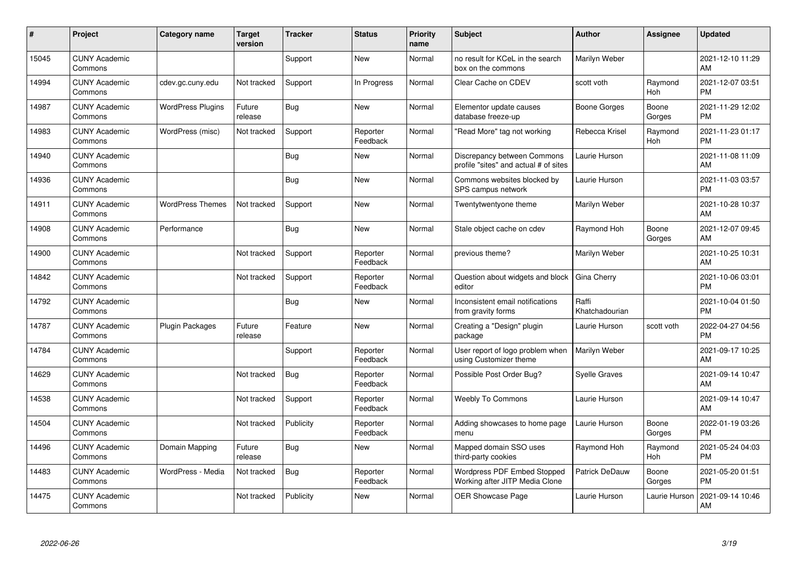| #     | Project                         | <b>Category name</b>     | <b>Target</b><br>version | <b>Tracker</b> | <b>Status</b>        | <b>Priority</b><br>name | <b>Subject</b>                                                       | <b>Author</b>           | <b>Assignee</b>       | <b>Updated</b>                |
|-------|---------------------------------|--------------------------|--------------------------|----------------|----------------------|-------------------------|----------------------------------------------------------------------|-------------------------|-----------------------|-------------------------------|
| 15045 | <b>CUNY Academic</b><br>Commons |                          |                          | Support        | <b>New</b>           | Normal                  | no result for KCeL in the search<br>box on the commons               | Marilyn Weber           |                       | 2021-12-10 11:29<br>AM        |
| 14994 | <b>CUNY Academic</b><br>Commons | cdev.gc.cuny.edu         | Not tracked              | Support        | In Progress          | Normal                  | Clear Cache on CDEV                                                  | scott voth              | Raymond<br><b>Hoh</b> | 2021-12-07 03:51<br><b>PM</b> |
| 14987 | <b>CUNY Academic</b><br>Commons | <b>WordPress Plugins</b> | Future<br>release        | Bug            | <b>New</b>           | Normal                  | Elementor update causes<br>database freeze-up                        | <b>Boone Gorges</b>     | Boone<br>Gorges       | 2021-11-29 12:02<br><b>PM</b> |
| 14983 | <b>CUNY Academic</b><br>Commons | WordPress (misc)         | Not tracked              | Support        | Reporter<br>Feedback | Normal                  | 'Read More" tag not working                                          | Rebecca Krisel          | Raymond<br>Hoh        | 2021-11-23 01:17<br><b>PM</b> |
| 14940 | <b>CUNY Academic</b><br>Commons |                          |                          | <b>Bug</b>     | <b>New</b>           | Normal                  | Discrepancy between Commons<br>profile "sites" and actual # of sites | Laurie Hurson           |                       | 2021-11-08 11:09<br>AM        |
| 14936 | <b>CUNY Academic</b><br>Commons |                          |                          | <b>Bug</b>     | <b>New</b>           | Normal                  | Commons websites blocked by<br>SPS campus network                    | Laurie Hurson           |                       | 2021-11-03 03:57<br><b>PM</b> |
| 14911 | <b>CUNY Academic</b><br>Commons | <b>WordPress Themes</b>  | Not tracked              | Support        | <b>New</b>           | Normal                  | Twentytwentyone theme                                                | Marilyn Weber           |                       | 2021-10-28 10:37<br>AM        |
| 14908 | <b>CUNY Academic</b><br>Commons | Performance              |                          | <b>Bug</b>     | <b>New</b>           | Normal                  | Stale object cache on cdev                                           | Raymond Hoh             | Boone<br>Gorges       | 2021-12-07 09:45<br>AM        |
| 14900 | <b>CUNY Academic</b><br>Commons |                          | Not tracked              | Support        | Reporter<br>Feedback | Normal                  | previous theme?                                                      | Marilyn Weber           |                       | 2021-10-25 10:31<br>AM        |
| 14842 | <b>CUNY Academic</b><br>Commons |                          | Not tracked              | Support        | Reporter<br>Feedback | Normal                  | Question about widgets and block<br>editor                           | Gina Cherry             |                       | 2021-10-06 03:01<br><b>PM</b> |
| 14792 | <b>CUNY Academic</b><br>Commons |                          |                          | <b>Bug</b>     | <b>New</b>           | Normal                  | Inconsistent email notifications<br>from gravity forms               | Raffi<br>Khatchadourian |                       | 2021-10-04 01:50<br><b>PM</b> |
| 14787 | <b>CUNY Academic</b><br>Commons | <b>Plugin Packages</b>   | Future<br>release        | Feature        | <b>New</b>           | Normal                  | Creating a "Design" plugin<br>package                                | Laurie Hurson           | scott voth            | 2022-04-27 04:56<br><b>PM</b> |
| 14784 | <b>CUNY Academic</b><br>Commons |                          |                          | Support        | Reporter<br>Feedback | Normal                  | User report of logo problem when<br>using Customizer theme           | Marilyn Weber           |                       | 2021-09-17 10:25<br>AM        |
| 14629 | <b>CUNY Academic</b><br>Commons |                          | Not tracked              | Bug            | Reporter<br>Feedback | Normal                  | Possible Post Order Bug?                                             | <b>Syelle Graves</b>    |                       | 2021-09-14 10:47<br>AM        |
| 14538 | <b>CUNY Academic</b><br>Commons |                          | Not tracked              | Support        | Reporter<br>Feedback | Normal                  | <b>Weebly To Commons</b>                                             | Laurie Hurson           |                       | 2021-09-14 10:47<br>AM        |
| 14504 | <b>CUNY Academic</b><br>Commons |                          | Not tracked              | Publicity      | Reporter<br>Feedback | Normal                  | Adding showcases to home page<br>menu                                | Laurie Hurson           | Boone<br>Gorges       | 2022-01-19 03:26<br><b>PM</b> |
| 14496 | <b>CUNY Academic</b><br>Commons | Domain Mapping           | Future<br>release        | <b>Bug</b>     | New                  | Normal                  | Mapped domain SSO uses<br>third-party cookies                        | Raymond Hoh             | Raymond<br><b>Hoh</b> | 2021-05-24 04:03<br><b>PM</b> |
| 14483 | <b>CUNY Academic</b><br>Commons | WordPress - Media        | Not tracked              | <b>Bug</b>     | Reporter<br>Feedback | Normal                  | Wordpress PDF Embed Stopped<br>Working after JITP Media Clone        | <b>Patrick DeDauw</b>   | Boone<br>Gorges       | 2021-05-20 01:51<br><b>PM</b> |
| 14475 | <b>CUNY Academic</b><br>Commons |                          | Not tracked              | Publicity      | <b>New</b>           | Normal                  | OER Showcase Page                                                    | Laurie Hurson           | Laurie Hurson         | 2021-09-14 10:46<br>AM        |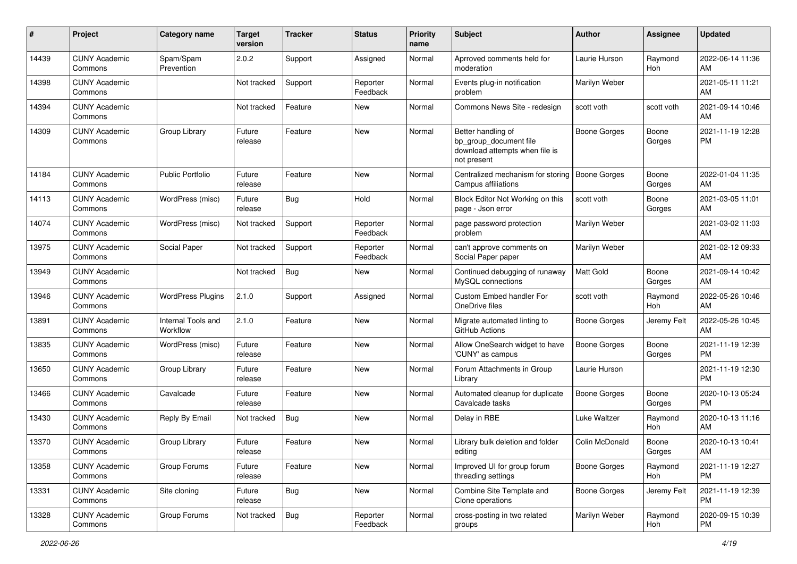| #     | Project                         | <b>Category name</b>           | Target<br>version | <b>Tracker</b> | <b>Status</b>        | <b>Priority</b><br>name | <b>Subject</b>                                                                                | <b>Author</b>       | Assignee        | <b>Updated</b>                |
|-------|---------------------------------|--------------------------------|-------------------|----------------|----------------------|-------------------------|-----------------------------------------------------------------------------------------------|---------------------|-----------------|-------------------------------|
| 14439 | <b>CUNY Academic</b><br>Commons | Spam/Spam<br>Prevention        | 2.0.2             | Support        | Assigned             | Normal                  | Aprroved comments held for<br>moderation                                                      | Laurie Hurson       | Raymond<br>Hoh  | 2022-06-14 11:36<br>AM        |
| 14398 | <b>CUNY Academic</b><br>Commons |                                | Not tracked       | Support        | Reporter<br>Feedback | Normal                  | Events plug-in notification<br>problem                                                        | Marilyn Weber       |                 | 2021-05-11 11:21<br>AM        |
| 14394 | <b>CUNY Academic</b><br>Commons |                                | Not tracked       | Feature        | New                  | Normal                  | Commons News Site - redesign                                                                  | scott voth          | scott voth      | 2021-09-14 10:46<br>AM        |
| 14309 | <b>CUNY Academic</b><br>Commons | Group Library                  | Future<br>release | Feature        | <b>New</b>           | Normal                  | Better handling of<br>bp_group_document file<br>download attempts when file is<br>not present | Boone Gorges        | Boone<br>Gorges | 2021-11-19 12:28<br><b>PM</b> |
| 14184 | <b>CUNY Academic</b><br>Commons | <b>Public Portfolio</b>        | Future<br>release | Feature        | <b>New</b>           | Normal                  | Centralized mechanism for storing<br>Campus affiliations                                      | <b>Boone Gorges</b> | Boone<br>Gorges | 2022-01-04 11:35<br>AM        |
| 14113 | <b>CUNY Academic</b><br>Commons | WordPress (misc)               | Future<br>release | Bug            | Hold                 | Normal                  | Block Editor Not Working on this<br>page - Json error                                         | scott voth          | Boone<br>Gorges | 2021-03-05 11:01<br>AM        |
| 14074 | <b>CUNY Academic</b><br>Commons | WordPress (misc)               | Not tracked       | Support        | Reporter<br>Feedback | Normal                  | page password protection<br>problem                                                           | Marilyn Weber       |                 | 2021-03-02 11:03<br>AM        |
| 13975 | <b>CUNY Academic</b><br>Commons | Social Paper                   | Not tracked       | Support        | Reporter<br>Feedback | Normal                  | can't approve comments on<br>Social Paper paper                                               | Marilyn Weber       |                 | 2021-02-12 09:33<br>AM        |
| 13949 | <b>CUNY Academic</b><br>Commons |                                | Not tracked       | <b>Bug</b>     | New                  | Normal                  | Continued debugging of runaway<br>MySQL connections                                           | Matt Gold           | Boone<br>Gorges | 2021-09-14 10:42<br>AM        |
| 13946 | <b>CUNY Academic</b><br>Commons | <b>WordPress Plugins</b>       | 2.1.0             | Support        | Assigned             | Normal                  | Custom Embed handler For<br>OneDrive files                                                    | scott voth          | Raymond<br>Hoh  | 2022-05-26 10:46<br>AM        |
| 13891 | <b>CUNY Academic</b><br>Commons | Internal Tools and<br>Workflow | 2.1.0             | Feature        | New                  | Normal                  | Migrate automated linting to<br>GitHub Actions                                                | <b>Boone Gorges</b> | Jeremy Felt     | 2022-05-26 10:45<br>AM        |
| 13835 | <b>CUNY Academic</b><br>Commons | WordPress (misc)               | Future<br>release | Feature        | New                  | Normal                  | Allow OneSearch widget to have<br>'CUNY' as campus                                            | <b>Boone Gorges</b> | Boone<br>Gorges | 2021-11-19 12:39<br>PM        |
| 13650 | <b>CUNY Academic</b><br>Commons | Group Library                  | Future<br>release | Feature        | <b>New</b>           | Normal                  | Forum Attachments in Group<br>Library                                                         | Laurie Hurson       |                 | 2021-11-19 12:30<br><b>PM</b> |
| 13466 | <b>CUNY Academic</b><br>Commons | Cavalcade                      | Future<br>release | Feature        | <b>New</b>           | Normal                  | Automated cleanup for duplicate<br>Cavalcade tasks                                            | <b>Boone Gorges</b> | Boone<br>Gorges | 2020-10-13 05:24<br><b>PM</b> |
| 13430 | <b>CUNY Academic</b><br>Commons | Reply By Email                 | Not tracked       | <b>Bug</b>     | New                  | Normal                  | Delay in RBE                                                                                  | Luke Waltzer        | Raymond<br>Hoh  | 2020-10-13 11:16<br>AM        |
| 13370 | <b>CUNY Academic</b><br>Commons | Group Library                  | Future<br>release | Feature        | New                  | Normal                  | Library bulk deletion and folder<br>editing                                                   | Colin McDonald      | Boone<br>Gorges | 2020-10-13 10:41<br>AM        |
| 13358 | <b>CUNY Academic</b><br>Commons | Group Forums                   | Future<br>release | Feature        | New                  | Normal                  | Improved UI for group forum<br>threading settings                                             | Boone Gorges        | Raymond<br>Hoh  | 2021-11-19 12:27<br><b>PM</b> |
| 13331 | <b>CUNY Academic</b><br>Commons | Site cloning                   | Future<br>release | <b>Bug</b>     | New                  | Normal                  | Combine Site Template and<br>Clone operations                                                 | Boone Gorges        | Jeremy Felt     | 2021-11-19 12:39<br>PM        |
| 13328 | <b>CUNY Academic</b><br>Commons | Group Forums                   | Not tracked       | Bug            | Reporter<br>Feedback | Normal                  | cross-posting in two related<br>groups                                                        | Marilyn Weber       | Raymond<br>Hoh  | 2020-09-15 10:39<br>PM        |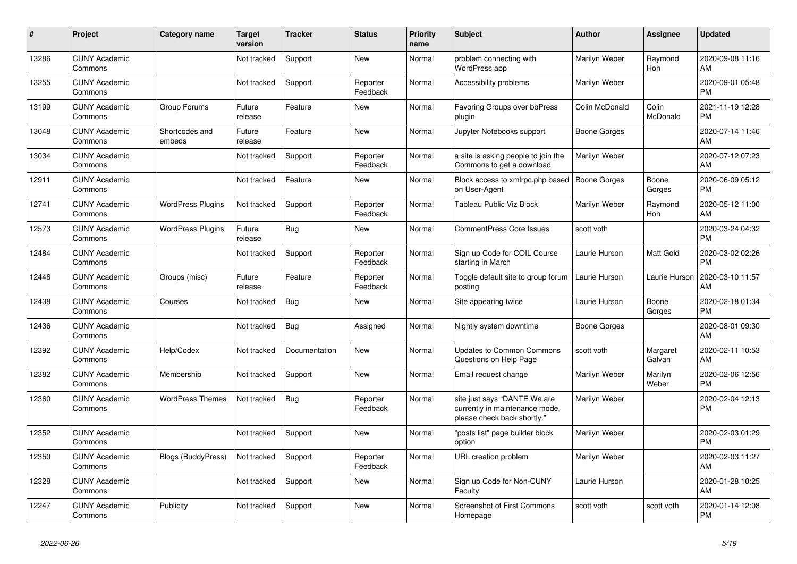| #     | <b>Project</b>                  | <b>Category name</b>      | <b>Target</b><br>version | Tracker       | <b>Status</b>        | <b>Priority</b><br>name | <b>Subject</b>                                                                                | <b>Author</b>       | <b>Assignee</b>       | <b>Updated</b>                |
|-------|---------------------------------|---------------------------|--------------------------|---------------|----------------------|-------------------------|-----------------------------------------------------------------------------------------------|---------------------|-----------------------|-------------------------------|
| 13286 | <b>CUNY Academic</b><br>Commons |                           | Not tracked              | Support       | New                  | Normal                  | problem connecting with<br>WordPress app                                                      | Marilyn Weber       | Raymond<br><b>Hoh</b> | 2020-09-08 11:16<br>AM        |
| 13255 | <b>CUNY Academic</b><br>Commons |                           | Not tracked              | Support       | Reporter<br>Feedback | Normal                  | Accessibility problems                                                                        | Marilyn Weber       |                       | 2020-09-01 05:48<br><b>PM</b> |
| 13199 | <b>CUNY Academic</b><br>Commons | Group Forums              | Future<br>release        | Feature       | <b>New</b>           | Normal                  | <b>Favoring Groups over bbPress</b><br>plugin                                                 | Colin McDonald      | Colin<br>McDonald     | 2021-11-19 12:28<br><b>PM</b> |
| 13048 | <b>CUNY Academic</b><br>Commons | Shortcodes and<br>embeds  | Future<br>release        | Feature       | <b>New</b>           | Normal                  | Jupyter Notebooks support                                                                     | Boone Gorges        |                       | 2020-07-14 11:46<br>AM        |
| 13034 | <b>CUNY Academic</b><br>Commons |                           | Not tracked              | Support       | Reporter<br>Feedback | Normal                  | a site is asking people to join the<br>Commons to get a download                              | Marilyn Weber       |                       | 2020-07-12 07:23<br>AM        |
| 12911 | <b>CUNY Academic</b><br>Commons |                           | Not tracked              | Feature       | <b>New</b>           | Normal                  | Block access to xmlrpc.php based<br>on User-Agent                                             | <b>Boone Gorges</b> | Boone<br>Gorges       | 2020-06-09 05:12<br><b>PM</b> |
| 12741 | <b>CUNY Academic</b><br>Commons | <b>WordPress Plugins</b>  | Not tracked              | Support       | Reporter<br>Feedback | Normal                  | <b>Tableau Public Viz Block</b>                                                               | Marilyn Weber       | Raymond<br><b>Hoh</b> | 2020-05-12 11:00<br>AM        |
| 12573 | <b>CUNY Academic</b><br>Commons | <b>WordPress Plugins</b>  | Future<br>release        | Bug           | <b>New</b>           | Normal                  | <b>CommentPress Core Issues</b>                                                               | scott voth          |                       | 2020-03-24 04:32<br><b>PM</b> |
| 12484 | <b>CUNY Academic</b><br>Commons |                           | Not tracked              | Support       | Reporter<br>Feedback | Normal                  | Sign up Code for COIL Course<br>starting in March                                             | Laurie Hurson       | Matt Gold             | 2020-03-02 02:26<br><b>PM</b> |
| 12446 | <b>CUNY Academic</b><br>Commons | Groups (misc)             | Future<br>release        | Feature       | Reporter<br>Feedback | Normal                  | Toggle default site to group forum<br>posting                                                 | Laurie Hurson       | Laurie Hurson         | 2020-03-10 11:57<br>AM        |
| 12438 | <b>CUNY Academic</b><br>Commons | Courses                   | Not tracked              | Bug           | <b>New</b>           | Normal                  | Site appearing twice                                                                          | Laurie Hurson       | Boone<br>Gorges       | 2020-02-18 01:34<br><b>PM</b> |
| 12436 | <b>CUNY Academic</b><br>Commons |                           | Not tracked              | Bug           | Assigned             | Normal                  | Nightly system downtime                                                                       | Boone Gorges        |                       | 2020-08-01 09:30<br>AM        |
| 12392 | <b>CUNY Academic</b><br>Commons | Help/Codex                | Not tracked              | Documentation | <b>New</b>           | Normal                  | <b>Updates to Common Commons</b><br>Questions on Help Page                                    | scott voth          | Margaret<br>Galvan    | 2020-02-11 10:53<br>AM        |
| 12382 | <b>CUNY Academic</b><br>Commons | Membership                | Not tracked              | Support       | <b>New</b>           | Normal                  | Email request change                                                                          | Marilyn Weber       | Marilyn<br>Weber      | 2020-02-06 12:56<br><b>PM</b> |
| 12360 | <b>CUNY Academic</b><br>Commons | <b>WordPress Themes</b>   | Not tracked              | <b>Bug</b>    | Reporter<br>Feedback | Normal                  | site just says "DANTE We are<br>currently in maintenance mode,<br>please check back shortly." | Marilyn Weber       |                       | 2020-02-04 12:13<br><b>PM</b> |
| 12352 | <b>CUNY Academic</b><br>Commons |                           | Not tracked              | Support       | <b>New</b>           | Normal                  | "posts list" page builder block<br>option                                                     | Marilyn Weber       |                       | 2020-02-03 01:29<br><b>PM</b> |
| 12350 | <b>CUNY Academic</b><br>Commons | <b>Blogs (BuddyPress)</b> | Not tracked              | Support       | Reporter<br>Feedback | Normal                  | <b>URL</b> creation problem                                                                   | Marilyn Weber       |                       | 2020-02-03 11:27<br>AM        |
| 12328 | <b>CUNY Academic</b><br>Commons |                           | Not tracked              | Support       | New                  | Normal                  | Sign up Code for Non-CUNY<br>Faculty                                                          | Laurie Hurson       |                       | 2020-01-28 10:25<br>AM        |
| 12247 | <b>CUNY Academic</b><br>Commons | Publicity                 | Not tracked              | Support       | <b>New</b>           | Normal                  | <b>Screenshot of First Commons</b><br>Homepage                                                | scott voth          | scott voth            | 2020-01-14 12:08<br><b>PM</b> |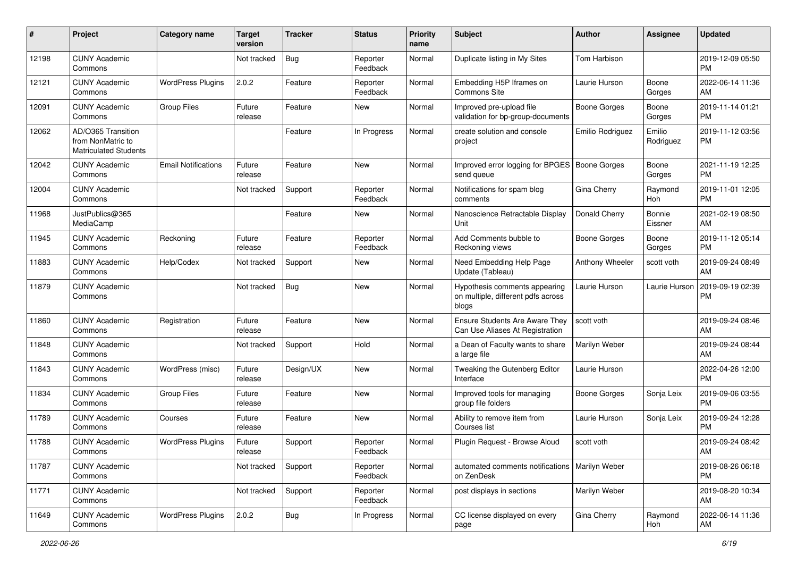| #     | Project                                                                 | <b>Category name</b>       | Target<br>version | <b>Tracker</b> | <b>Status</b>        | <b>Priority</b><br>name | <b>Subject</b>                                                               | Author              | Assignee            | <b>Updated</b>                |
|-------|-------------------------------------------------------------------------|----------------------------|-------------------|----------------|----------------------|-------------------------|------------------------------------------------------------------------------|---------------------|---------------------|-------------------------------|
| 12198 | <b>CUNY Academic</b><br>Commons                                         |                            | Not tracked       | <b>Bug</b>     | Reporter<br>Feedback | Normal                  | Duplicate listing in My Sites                                                | Tom Harbison        |                     | 2019-12-09 05:50<br><b>PM</b> |
| 12121 | <b>CUNY Academic</b><br>Commons                                         | <b>WordPress Plugins</b>   | 2.0.2             | Feature        | Reporter<br>Feedback | Normal                  | Embedding H5P Iframes on<br>Commons Site                                     | Laurie Hurson       | Boone<br>Gorges     | 2022-06-14 11:36<br>AM        |
| 12091 | <b>CUNY Academic</b><br>Commons                                         | <b>Group Files</b>         | Future<br>release | Feature        | New                  | Normal                  | Improved pre-upload file<br>validation for bp-group-documents                | Boone Gorges        | Boone<br>Gorges     | 2019-11-14 01:21<br><b>PM</b> |
| 12062 | AD/O365 Transition<br>from NonMatric to<br><b>Matriculated Students</b> |                            |                   | Feature        | In Progress          | Normal                  | create solution and console<br>project                                       | Emilio Rodriguez    | Emilio<br>Rodriguez | 2019-11-12 03:56<br><b>PM</b> |
| 12042 | <b>CUNY Academic</b><br>Commons                                         | <b>Email Notifications</b> | Future<br>release | Feature        | New                  | Normal                  | Improved error logging for BPGES<br>send queue                               | <b>Boone Gorges</b> | Boone<br>Gorges     | 2021-11-19 12:25<br><b>PM</b> |
| 12004 | <b>CUNY Academic</b><br>Commons                                         |                            | Not tracked       | Support        | Reporter<br>Feedback | Normal                  | Notifications for spam blog<br>comments                                      | Gina Cherry         | Raymond<br>Hoh      | 2019-11-01 12:05<br><b>PM</b> |
| 11968 | JustPublics@365<br>MediaCamp                                            |                            |                   | Feature        | New                  | Normal                  | Nanoscience Retractable Display<br>Unit                                      | Donald Cherry       | Bonnie<br>Eissner   | 2021-02-19 08:50<br>AM        |
| 11945 | <b>CUNY Academic</b><br>Commons                                         | Reckoning                  | Future<br>release | Feature        | Reporter<br>Feedback | Normal                  | Add Comments bubble to<br>Reckoning views                                    | <b>Boone Gorges</b> | Boone<br>Gorges     | 2019-11-12 05:14<br><b>PM</b> |
| 11883 | <b>CUNY Academic</b><br>Commons                                         | Help/Codex                 | Not tracked       | Support        | New                  | Normal                  | Need Embedding Help Page<br>Update (Tableau)                                 | Anthony Wheeler     | scott voth          | 2019-09-24 08:49<br>AM        |
| 11879 | <b>CUNY Academic</b><br>Commons                                         |                            | Not tracked       | <b>Bug</b>     | New                  | Normal                  | Hypothesis comments appearing<br>on multiple, different pdfs across<br>blogs | Laurie Hurson       | Laurie Hurson       | 2019-09-19 02:39<br><b>PM</b> |
| 11860 | <b>CUNY Academic</b><br>Commons                                         | Registration               | Future<br>release | Feature        | New                  | Normal                  | Ensure Students Are Aware They<br>Can Use Aliases At Registration            | scott voth          |                     | 2019-09-24 08:46<br>AM        |
| 11848 | <b>CUNY Academic</b><br>Commons                                         |                            | Not tracked       | Support        | Hold                 | Normal                  | a Dean of Faculty wants to share<br>a large file                             | Marilyn Weber       |                     | 2019-09-24 08:44<br>AM        |
| 11843 | <b>CUNY Academic</b><br>Commons                                         | WordPress (misc)           | Future<br>release | Design/UX      | <b>New</b>           | Normal                  | Tweaking the Gutenberg Editor<br>Interface                                   | Laurie Hurson       |                     | 2022-04-26 12:00<br><b>PM</b> |
| 11834 | <b>CUNY Academic</b><br>Commons                                         | <b>Group Files</b>         | Future<br>release | Feature        | <b>New</b>           | Normal                  | Improved tools for managing<br>group file folders                            | Boone Gorges        | Sonja Leix          | 2019-09-06 03:55<br><b>PM</b> |
| 11789 | <b>CUNY Academic</b><br>Commons                                         | Courses                    | Future<br>release | Feature        | New                  | Normal                  | Ability to remove item from<br>Courses list                                  | Laurie Hurson       | Sonja Leix          | 2019-09-24 12:28<br><b>PM</b> |
| 11788 | <b>CUNY Academic</b><br>Commons                                         | <b>WordPress Plugins</b>   | Future<br>release | Support        | Reporter<br>Feedback | Normal                  | Plugin Request - Browse Aloud                                                | scott voth          |                     | 2019-09-24 08:42<br>AM        |
| 11787 | <b>CUNY Academic</b><br>Commons                                         |                            | Not tracked       | Support        | Reporter<br>Feedback | Normal                  | automated comments notifications   Marilyn Weber<br>on ZenDesk               |                     |                     | 2019-08-26 06:18<br><b>PM</b> |
| 11771 | <b>CUNY Academic</b><br>Commons                                         |                            | Not tracked       | Support        | Reporter<br>Feedback | Normal                  | post displays in sections                                                    | Marilyn Weber       |                     | 2019-08-20 10:34<br>AM        |
| 11649 | <b>CUNY Academic</b><br>Commons                                         | <b>WordPress Plugins</b>   | 2.0.2             | Bug            | In Progress          | Normal                  | CC license displayed on every<br>page                                        | Gina Cherry         | Raymond<br>Hoh      | 2022-06-14 11:36<br>AM        |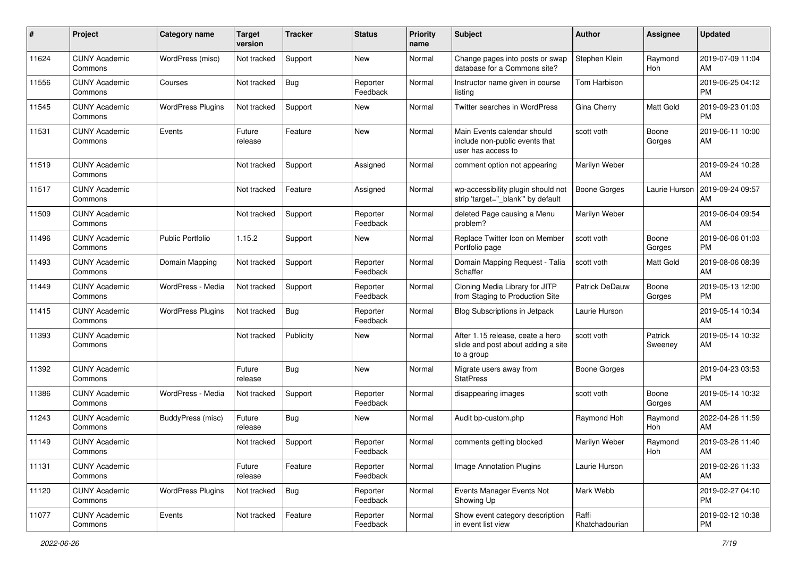| #     | Project                         | <b>Category name</b>     | <b>Target</b><br>version | <b>Tracker</b> | <b>Status</b>        | <b>Priority</b><br>name | <b>Subject</b>                                                                       | Author                  | <b>Assignee</b>    | <b>Updated</b>                |
|-------|---------------------------------|--------------------------|--------------------------|----------------|----------------------|-------------------------|--------------------------------------------------------------------------------------|-------------------------|--------------------|-------------------------------|
| 11624 | <b>CUNY Academic</b><br>Commons | WordPress (misc)         | Not tracked              | Support        | <b>New</b>           | Normal                  | Change pages into posts or swap<br>database for a Commons site?                      | Stephen Klein           | Raymond<br>Hoh     | 2019-07-09 11:04<br>AM        |
| 11556 | <b>CUNY Academic</b><br>Commons | Courses                  | Not tracked              | Bug            | Reporter<br>Feedback | Normal                  | Instructor name given in course<br>listing                                           | Tom Harbison            |                    | 2019-06-25 04:12<br><b>PM</b> |
| 11545 | <b>CUNY Academic</b><br>Commons | <b>WordPress Plugins</b> | Not tracked              | Support        | <b>New</b>           | Normal                  | <b>Twitter searches in WordPress</b>                                                 | Gina Cherry             | Matt Gold          | 2019-09-23 01:03<br><b>PM</b> |
| 11531 | <b>CUNY Academic</b><br>Commons | Events                   | Future<br>release        | Feature        | <b>New</b>           | Normal                  | Main Events calendar should<br>include non-public events that<br>user has access to  | scott voth              | Boone<br>Gorges    | 2019-06-11 10:00<br>AM        |
| 11519 | <b>CUNY Academic</b><br>Commons |                          | Not tracked              | Support        | Assigned             | Normal                  | comment option not appearing                                                         | Marilyn Weber           |                    | 2019-09-24 10:28<br>AM        |
| 11517 | <b>CUNY Academic</b><br>Commons |                          | Not tracked              | Feature        | Assigned             | Normal                  | wp-accessibility plugin should not<br>strip 'target="_blank" by default              | <b>Boone Gorges</b>     | Laurie Hurson      | 2019-09-24 09:57<br>AM        |
| 11509 | <b>CUNY Academic</b><br>Commons |                          | Not tracked              | Support        | Reporter<br>Feedback | Normal                  | deleted Page causing a Menu<br>problem?                                              | Marilyn Weber           |                    | 2019-06-04 09:54<br>AM        |
| 11496 | <b>CUNY Academic</b><br>Commons | <b>Public Portfolio</b>  | 1.15.2                   | Support        | New                  | Normal                  | Replace Twitter Icon on Member<br>Portfolio page                                     | scott voth              | Boone<br>Gorges    | 2019-06-06 01:03<br><b>PM</b> |
| 11493 | <b>CUNY Academic</b><br>Commons | Domain Mapping           | Not tracked              | Support        | Reporter<br>Feedback | Normal                  | Domain Mapping Request - Talia<br>Schaffer                                           | scott voth              | Matt Gold          | 2019-08-06 08:39<br>AM        |
| 11449 | <b>CUNY Academic</b><br>Commons | WordPress - Media        | Not tracked              | Support        | Reporter<br>Feedback | Normal                  | Cloning Media Library for JITP<br>from Staging to Production Site                    | <b>Patrick DeDauw</b>   | Boone<br>Gorges    | 2019-05-13 12:00<br><b>PM</b> |
| 11415 | <b>CUNY Academic</b><br>Commons | <b>WordPress Plugins</b> | Not tracked              | Bug            | Reporter<br>Feedback | Normal                  | <b>Blog Subscriptions in Jetpack</b>                                                 | Laurie Hurson           |                    | 2019-05-14 10:34<br>AM        |
| 11393 | <b>CUNY Academic</b><br>Commons |                          | Not tracked              | Publicity      | <b>New</b>           | Normal                  | After 1.15 release, ceate a hero<br>slide and post about adding a site<br>to a group | scott voth              | Patrick<br>Sweeney | 2019-05-14 10:32<br>AM        |
| 11392 | <b>CUNY Academic</b><br>Commons |                          | Future<br>release        | Bug            | <b>New</b>           | Normal                  | Migrate users away from<br><b>StatPress</b>                                          | <b>Boone Gorges</b>     |                    | 2019-04-23 03:53<br><b>PM</b> |
| 11386 | <b>CUNY Academic</b><br>Commons | WordPress - Media        | Not tracked              | Support        | Reporter<br>Feedback | Normal                  | disappearing images                                                                  | scott voth              | Boone<br>Gorges    | 2019-05-14 10:32<br>AM        |
| 11243 | <b>CUNY Academic</b><br>Commons | BuddyPress (misc)        | Future<br>release        | Bug            | New                  | Normal                  | Audit bp-custom.php                                                                  | Raymond Hoh             | Raymond<br>Hoh     | 2022-04-26 11:59<br>AM        |
| 11149 | <b>CUNY Academic</b><br>Commons |                          | Not tracked              | Support        | Reporter<br>Feedback | Normal                  | comments getting blocked                                                             | Marilyn Weber           | Raymond<br>Hoh     | 2019-03-26 11:40<br>AM        |
| 11131 | <b>CUNY Academic</b><br>Commons |                          | Future<br>release        | Feature        | Reporter<br>Feedback | Normal                  | Image Annotation Plugins                                                             | Laurie Hurson           |                    | 2019-02-26 11:33<br>AM        |
| 11120 | <b>CUNY Academic</b><br>Commons | <b>WordPress Plugins</b> | Not tracked              | <b>Bug</b>     | Reporter<br>Feedback | Normal                  | Events Manager Events Not<br>Showing Up                                              | Mark Webb               |                    | 2019-02-27 04:10<br><b>PM</b> |
| 11077 | <b>CUNY Academic</b><br>Commons | Events                   | Not tracked              | Feature        | Reporter<br>Feedback | Normal                  | Show event category description<br>in event list view                                | Raffi<br>Khatchadourian |                    | 2019-02-12 10:38<br><b>PM</b> |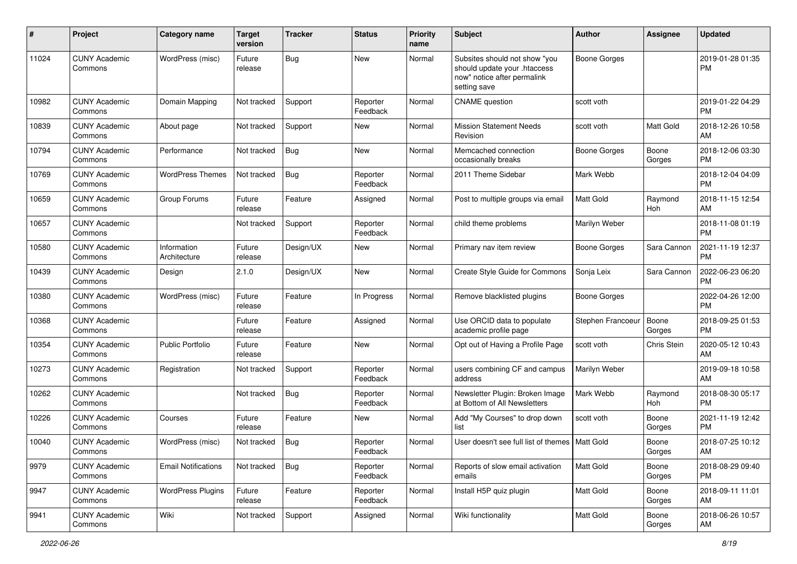| #     | Project                         | <b>Category name</b>        | <b>Target</b><br>version | <b>Tracker</b> | <b>Status</b>        | <b>Priority</b><br>name | <b>Subject</b>                                                                                               | Author              | Assignee        | <b>Updated</b>                |
|-------|---------------------------------|-----------------------------|--------------------------|----------------|----------------------|-------------------------|--------------------------------------------------------------------------------------------------------------|---------------------|-----------------|-------------------------------|
| 11024 | <b>CUNY Academic</b><br>Commons | WordPress (misc)            | Future<br>release        | <b>Bug</b>     | <b>New</b>           | Normal                  | Subsites should not show "you<br>should update your .htaccess<br>now" notice after permalink<br>setting save | <b>Boone Gorges</b> |                 | 2019-01-28 01:35<br><b>PM</b> |
| 10982 | <b>CUNY Academic</b><br>Commons | Domain Mapping              | Not tracked              | Support        | Reporter<br>Feedback | Normal                  | <b>CNAME</b> question                                                                                        | scott voth          |                 | 2019-01-22 04:29<br><b>PM</b> |
| 10839 | <b>CUNY Academic</b><br>Commons | About page                  | Not tracked              | Support        | <b>New</b>           | Normal                  | <b>Mission Statement Needs</b><br>Revision                                                                   | scott voth          | Matt Gold       | 2018-12-26 10:58<br>AM        |
| 10794 | <b>CUNY Academic</b><br>Commons | Performance                 | Not tracked              | <b>Bug</b>     | <b>New</b>           | Normal                  | Memcached connection<br>occasionally breaks                                                                  | <b>Boone Gorges</b> | Boone<br>Gorges | 2018-12-06 03:30<br><b>PM</b> |
| 10769 | <b>CUNY Academic</b><br>Commons | <b>WordPress Themes</b>     | Not tracked              | <b>Bug</b>     | Reporter<br>Feedback | Normal                  | 2011 Theme Sidebar                                                                                           | Mark Webb           |                 | 2018-12-04 04:09<br><b>PM</b> |
| 10659 | <b>CUNY Academic</b><br>Commons | Group Forums                | Future<br>release        | Feature        | Assigned             | Normal                  | Post to multiple groups via email                                                                            | Matt Gold           | Raymond<br>Hoh  | 2018-11-15 12:54<br>AM        |
| 10657 | <b>CUNY Academic</b><br>Commons |                             | Not tracked              | Support        | Reporter<br>Feedback | Normal                  | child theme problems                                                                                         | Marilyn Weber       |                 | 2018-11-08 01:19<br><b>PM</b> |
| 10580 | <b>CUNY Academic</b><br>Commons | Information<br>Architecture | Future<br>release        | Design/UX      | New                  | Normal                  | Primary nav item review                                                                                      | <b>Boone Gorges</b> | Sara Cannon     | 2021-11-19 12:37<br><b>PM</b> |
| 10439 | <b>CUNY Academic</b><br>Commons | Design                      | 2.1.0                    | Design/UX      | <b>New</b>           | Normal                  | Create Style Guide for Commons                                                                               | Sonja Leix          | Sara Cannon     | 2022-06-23 06:20<br>PM        |
| 10380 | <b>CUNY Academic</b><br>Commons | WordPress (misc)            | Future<br>release        | Feature        | In Progress          | Normal                  | Remove blacklisted plugins                                                                                   | <b>Boone Gorges</b> |                 | 2022-04-26 12:00<br><b>PM</b> |
| 10368 | <b>CUNY Academic</b><br>Commons |                             | Future<br>release        | Feature        | Assigned             | Normal                  | Use ORCID data to populate<br>academic profile page                                                          | Stephen Francoeur   | Boone<br>Gorges | 2018-09-25 01:53<br><b>PM</b> |
| 10354 | <b>CUNY Academic</b><br>Commons | Public Portfolio            | Future<br>release        | Feature        | New                  | Normal                  | Opt out of Having a Profile Page                                                                             | scott voth          | Chris Stein     | 2020-05-12 10:43<br>AM        |
| 10273 | <b>CUNY Academic</b><br>Commons | Registration                | Not tracked              | Support        | Reporter<br>Feedback | Normal                  | users combining CF and campus<br>address                                                                     | Marilyn Weber       |                 | 2019-09-18 10:58<br>AM        |
| 10262 | <b>CUNY Academic</b><br>Commons |                             | Not tracked              | <b>Bug</b>     | Reporter<br>Feedback | Normal                  | Newsletter Plugin: Broken Image<br>at Bottom of All Newsletters                                              | Mark Webb           | Raymond<br>Hoh  | 2018-08-30 05:17<br><b>PM</b> |
| 10226 | <b>CUNY Academic</b><br>Commons | Courses                     | Future<br>release        | Feature        | New                  | Normal                  | Add "My Courses" to drop down<br>list                                                                        | scott voth          | Boone<br>Gorges | 2021-11-19 12:42<br><b>PM</b> |
| 10040 | <b>CUNY Academic</b><br>Commons | WordPress (misc)            | Not tracked              | <b>Bug</b>     | Reporter<br>Feedback | Normal                  | User doesn't see full list of themes   Matt Gold                                                             |                     | Boone<br>Gorges | 2018-07-25 10:12<br>AM        |
| 9979  | <b>CUNY Academic</b><br>Commons | <b>Email Notifications</b>  | Not tracked              | Bug            | Reporter<br>Feedback | Normal                  | Reports of slow email activation<br>emails                                                                   | Matt Gold           | Boone<br>Gorges | 2018-08-29 09:40<br><b>PM</b> |
| 9947  | <b>CUNY Academic</b><br>Commons | <b>WordPress Plugins</b>    | Future<br>release        | Feature        | Reporter<br>Feedback | Normal                  | Install H5P quiz plugin                                                                                      | Matt Gold           | Boone<br>Gorges | 2018-09-11 11:01<br>AM        |
| 9941  | <b>CUNY Academic</b><br>Commons | Wiki                        | Not tracked              | Support        | Assigned             | Normal                  | Wiki functionality                                                                                           | Matt Gold           | Boone<br>Gorges | 2018-06-26 10:57<br>AM        |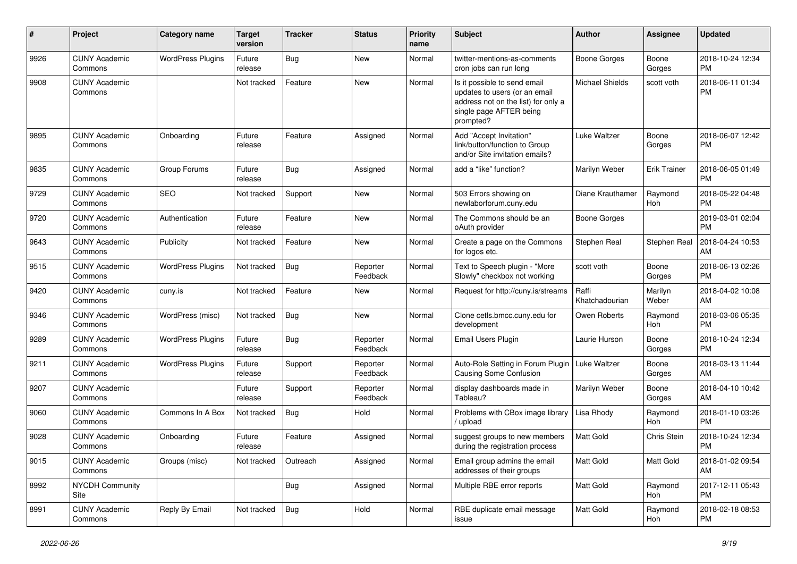| #    | Project                         | <b>Category name</b>     | Target<br>version | <b>Tracker</b> | <b>Status</b>        | <b>Priority</b><br>name | <b>Subject</b>                                                                                                                               | Author                  | Assignee         | <b>Updated</b>                |
|------|---------------------------------|--------------------------|-------------------|----------------|----------------------|-------------------------|----------------------------------------------------------------------------------------------------------------------------------------------|-------------------------|------------------|-------------------------------|
| 9926 | <b>CUNY Academic</b><br>Commons | <b>WordPress Plugins</b> | Future<br>release | <b>Bug</b>     | <b>New</b>           | Normal                  | twitter-mentions-as-comments<br>cron jobs can run long                                                                                       | <b>Boone Gorges</b>     | Boone<br>Gorges  | 2018-10-24 12:34<br><b>PM</b> |
| 9908 | <b>CUNY Academic</b><br>Commons |                          | Not tracked       | Feature        | New                  | Normal                  | Is it possible to send email<br>updates to users (or an email<br>address not on the list) for only a<br>single page AFTER being<br>prompted? | <b>Michael Shields</b>  | scott voth       | 2018-06-11 01:34<br><b>PM</b> |
| 9895 | <b>CUNY Academic</b><br>Commons | Onboarding               | Future<br>release | Feature        | Assigned             | Normal                  | Add "Accept Invitation"<br>link/button/function to Group<br>and/or Site invitation emails?                                                   | <b>Luke Waltzer</b>     | Boone<br>Gorges  | 2018-06-07 12:42<br><b>PM</b> |
| 9835 | <b>CUNY Academic</b><br>Commons | Group Forums             | Future<br>release | <b>Bug</b>     | Assigned             | Normal                  | add a "like" function?                                                                                                                       | Marilyn Weber           | Erik Trainer     | 2018-06-05 01:49<br><b>PM</b> |
| 9729 | <b>CUNY Academic</b><br>Commons | <b>SEO</b>               | Not tracked       | Support        | <b>New</b>           | Normal                  | 503 Errors showing on<br>newlaborforum.cuny.edu                                                                                              | Diane Krauthamer        | Raymond<br>Hoh   | 2018-05-22 04:48<br><b>PM</b> |
| 9720 | <b>CUNY Academic</b><br>Commons | Authentication           | Future<br>release | Feature        | New                  | Normal                  | The Commons should be an<br>oAuth provider                                                                                                   | <b>Boone Gorges</b>     |                  | 2019-03-01 02:04<br><b>PM</b> |
| 9643 | <b>CUNY Academic</b><br>Commons | Publicity                | Not tracked       | Feature        | New                  | Normal                  | Create a page on the Commons<br>for logos etc.                                                                                               | Stephen Real            | Stephen Real     | 2018-04-24 10:53<br>AM        |
| 9515 | <b>CUNY Academic</b><br>Commons | <b>WordPress Plugins</b> | Not tracked       | <b>Bug</b>     | Reporter<br>Feedback | Normal                  | Text to Speech plugin - "More<br>Slowly" checkbox not working                                                                                | scott voth              | Boone<br>Gorges  | 2018-06-13 02:26<br><b>PM</b> |
| 9420 | <b>CUNY Academic</b><br>Commons | cuny.is                  | Not tracked       | Feature        | New                  | Normal                  | Request for http://cuny.is/streams                                                                                                           | Raffi<br>Khatchadourian | Marilyn<br>Weber | 2018-04-02 10:08<br>AM        |
| 9346 | <b>CUNY Academic</b><br>Commons | WordPress (misc)         | Not tracked       | Bug            | New                  | Normal                  | Clone cetls.bmcc.cuny.edu for<br>development                                                                                                 | Owen Roberts            | Raymond<br>Hoh   | 2018-03-06 05:35<br><b>PM</b> |
| 9289 | <b>CUNY Academic</b><br>Commons | <b>WordPress Plugins</b> | Future<br>release | <b>Bug</b>     | Reporter<br>Feedback | Normal                  | Email Users Plugin                                                                                                                           | Laurie Hurson           | Boone<br>Gorges  | 2018-10-24 12:34<br><b>PM</b> |
| 9211 | <b>CUNY Academic</b><br>Commons | <b>WordPress Plugins</b> | Future<br>release | Support        | Reporter<br>Feedback | Normal                  | Auto-Role Setting in Forum Plugin<br>Causing Some Confusion                                                                                  | Luke Waltzer            | Boone<br>Gorges  | 2018-03-13 11:44<br>AM        |
| 9207 | <b>CUNY Academic</b><br>Commons |                          | Future<br>release | Support        | Reporter<br>Feedback | Normal                  | display dashboards made in<br>Tableau?                                                                                                       | Marilyn Weber           | Boone<br>Gorges  | 2018-04-10 10:42<br>AM        |
| 9060 | <b>CUNY Academic</b><br>Commons | Commons In A Box         | Not tracked       | <b>Bug</b>     | Hold                 | Normal                  | Problems with CBox image library<br>upload                                                                                                   | Lisa Rhody              | Raymond<br>Hoh   | 2018-01-10 03:26<br><b>PM</b> |
| 9028 | <b>CUNY Academic</b><br>Commons | Onboarding               | Future<br>release | Feature        | Assigned             | Normal                  | suggest groups to new members<br>during the registration process                                                                             | Matt Gold               | Chris Stein      | 2018-10-24 12:34<br><b>PM</b> |
| 9015 | <b>CUNY Academic</b><br>Commons | Groups (misc)            | Not tracked       | Outreach       | Assigned             | Normal                  | Email group admins the email<br>addresses of their groups                                                                                    | Matt Gold               | Matt Gold        | 2018-01-02 09:54<br>AM        |
| 8992 | <b>NYCDH Community</b><br>Site  |                          |                   | Bug            | Assigned             | Normal                  | Multiple RBE error reports                                                                                                                   | Matt Gold               | Raymond<br>Hoh   | 2017-12-11 05:43<br><b>PM</b> |
| 8991 | <b>CUNY Academic</b><br>Commons | Reply By Email           | Not tracked       | Bug            | Hold                 | Normal                  | RBE duplicate email message<br>issue                                                                                                         | Matt Gold               | Raymond<br>Hoh   | 2018-02-18 08:53<br><b>PM</b> |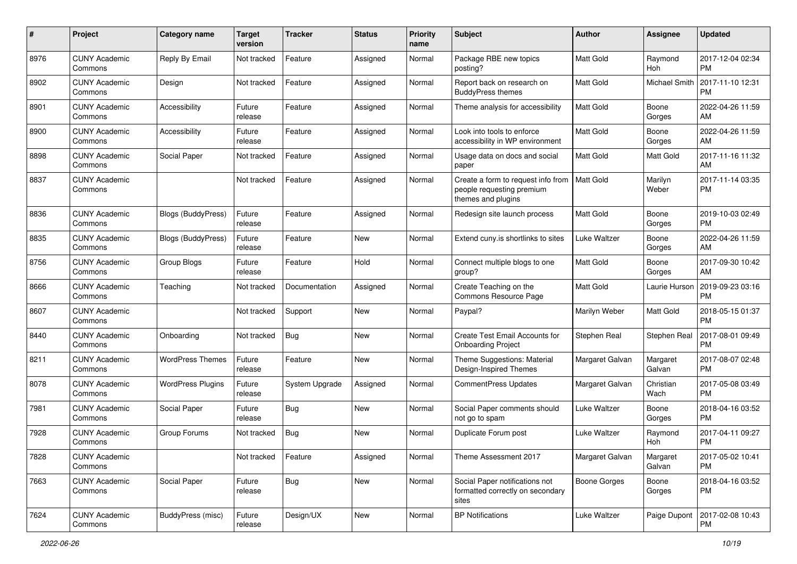| #    | Project                         | <b>Category name</b>      | <b>Target</b><br>version | <b>Tracker</b> | <b>Status</b> | <b>Priority</b><br>name | <b>Subject</b>                                                                        | <b>Author</b>    | Assignee           | <b>Updated</b>                |
|------|---------------------------------|---------------------------|--------------------------|----------------|---------------|-------------------------|---------------------------------------------------------------------------------------|------------------|--------------------|-------------------------------|
| 8976 | <b>CUNY Academic</b><br>Commons | Reply By Email            | Not tracked              | Feature        | Assigned      | Normal                  | Package RBE new topics<br>posting?                                                    | <b>Matt Gold</b> | Raymond<br>Hoh     | 2017-12-04 02:34<br><b>PM</b> |
| 8902 | <b>CUNY Academic</b><br>Commons | Design                    | Not tracked              | Feature        | Assigned      | Normal                  | Report back on research on<br><b>BuddyPress themes</b>                                | <b>Matt Gold</b> | Michael Smith      | 2017-11-10 12:31<br><b>PM</b> |
| 8901 | <b>CUNY Academic</b><br>Commons | Accessibility             | Future<br>release        | Feature        | Assigned      | Normal                  | Theme analysis for accessibility                                                      | <b>Matt Gold</b> | Boone<br>Gorges    | 2022-04-26 11:59<br>AM        |
| 8900 | <b>CUNY Academic</b><br>Commons | Accessibility             | Future<br>release        | Feature        | Assigned      | Normal                  | Look into tools to enforce<br>accessibility in WP environment                         | <b>Matt Gold</b> | Boone<br>Gorges    | 2022-04-26 11:59<br>AM        |
| 8898 | <b>CUNY Academic</b><br>Commons | Social Paper              | Not tracked              | Feature        | Assigned      | Normal                  | Usage data on docs and social<br>paper                                                | Matt Gold        | <b>Matt Gold</b>   | 2017-11-16 11:32<br>AM        |
| 8837 | <b>CUNY Academic</b><br>Commons |                           | Not tracked              | Feature        | Assigned      | Normal                  | Create a form to request info from<br>people requesting premium<br>themes and plugins | <b>Matt Gold</b> | Marilyn<br>Weber   | 2017-11-14 03:35<br><b>PM</b> |
| 8836 | <b>CUNY Academic</b><br>Commons | Blogs (BuddyPress)        | Future<br>release        | Feature        | Assigned      | Normal                  | Redesign site launch process                                                          | <b>Matt Gold</b> | Boone<br>Gorges    | 2019-10-03 02:49<br><b>PM</b> |
| 8835 | <b>CUNY Academic</b><br>Commons | <b>Blogs (BuddyPress)</b> | Future<br>release        | Feature        | New           | Normal                  | Extend cuny.is shortlinks to sites                                                    | Luke Waltzer     | Boone<br>Gorges    | 2022-04-26 11:59<br>AM        |
| 8756 | <b>CUNY Academic</b><br>Commons | Group Blogs               | Future<br>release        | Feature        | Hold          | Normal                  | Connect multiple blogs to one<br>group?                                               | <b>Matt Gold</b> | Boone<br>Gorges    | 2017-09-30 10:42<br>AM        |
| 8666 | <b>CUNY Academic</b><br>Commons | Teaching                  | Not tracked              | Documentation  | Assigned      | Normal                  | Create Teaching on the<br>Commons Resource Page                                       | <b>Matt Gold</b> | Laurie Hurson      | 2019-09-23 03:16<br><b>PM</b> |
| 8607 | <b>CUNY Academic</b><br>Commons |                           | Not tracked              | Support        | <b>New</b>    | Normal                  | Paypal?                                                                               | Marilyn Weber    | Matt Gold          | 2018-05-15 01:37<br><b>PM</b> |
| 8440 | <b>CUNY Academic</b><br>Commons | Onboarding                | Not tracked              | Bug            | <b>New</b>    | Normal                  | Create Test Email Accounts for<br><b>Onboarding Project</b>                           | Stephen Real     | Stephen Real       | 2017-08-01 09:49<br><b>PM</b> |
| 8211 | <b>CUNY Academic</b><br>Commons | <b>WordPress Themes</b>   | Future<br>release        | Feature        | <b>New</b>    | Normal                  | Theme Suggestions: Material<br>Design-Inspired Themes                                 | Margaret Galvan  | Margaret<br>Galvan | 2017-08-07 02:48<br><b>PM</b> |
| 8078 | <b>CUNY Academic</b><br>Commons | <b>WordPress Plugins</b>  | Future<br>release        | System Upgrade | Assigned      | Normal                  | <b>CommentPress Updates</b>                                                           | Margaret Galvan  | Christian<br>Wach  | 2017-05-08 03:49<br><b>PM</b> |
| 7981 | <b>CUNY Academic</b><br>Commons | Social Paper              | Future<br>release        | Bug            | <b>New</b>    | Normal                  | Social Paper comments should<br>not go to spam                                        | Luke Waltzer     | Boone<br>Gorges    | 2018-04-16 03:52<br><b>PM</b> |
| 7928 | <b>CUNY Academic</b><br>Commons | Group Forums              | Not tracked              | <b>Bug</b>     | <b>New</b>    | Normal                  | Duplicate Forum post                                                                  | Luke Waltzer     | Raymond<br>Hoh     | 2017-04-11 09:27<br><b>PM</b> |
| 7828 | <b>CUNY Academic</b><br>Commons |                           | Not tracked              | Feature        | Assigned      | Normal                  | Theme Assessment 2017                                                                 | Margaret Galvan  | Margaret<br>Galvan | 2017-05-02 10:41<br>PM        |
| 7663 | <b>CUNY Academic</b><br>Commons | Social Paper              | Future<br>release        | <b>Bug</b>     | New           | Normal                  | Social Paper notifications not<br>formatted correctly on secondary<br>sites           | Boone Gorges     | Boone<br>Gorges    | 2018-04-16 03:52<br><b>PM</b> |
| 7624 | <b>CUNY Academic</b><br>Commons | BuddyPress (misc)         | Future<br>release        | Design/UX      | New           | Normal                  | <b>BP Notifications</b>                                                               | Luke Waltzer     | Paige Dupont       | 2017-02-08 10:43<br>PM        |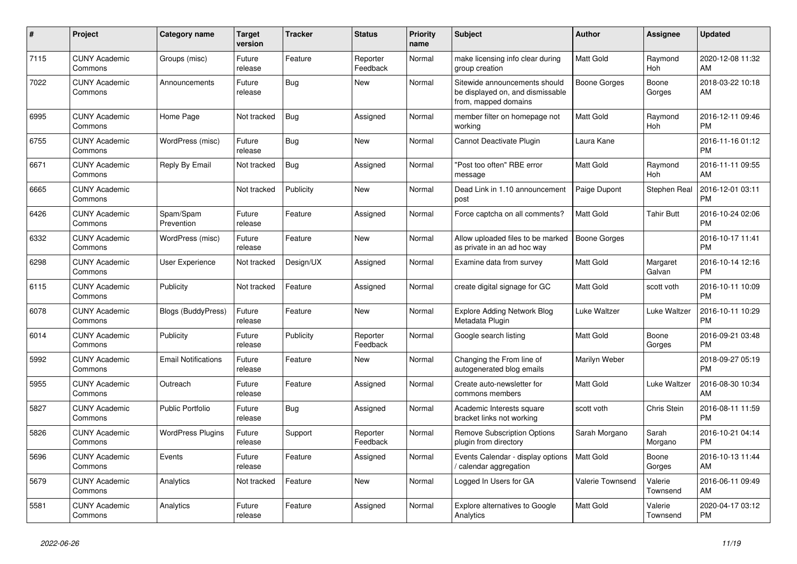| #    | <b>Project</b>                  | <b>Category name</b>       | <b>Target</b><br>version | Tracker    | <b>Status</b>        | <b>Priority</b><br>name | <b>Subject</b>                                                                            | <b>Author</b>       | Assignee              | Updated                       |
|------|---------------------------------|----------------------------|--------------------------|------------|----------------------|-------------------------|-------------------------------------------------------------------------------------------|---------------------|-----------------------|-------------------------------|
| 7115 | <b>CUNY Academic</b><br>Commons | Groups (misc)              | Future<br>release        | Feature    | Reporter<br>Feedback | Normal                  | make licensing info clear during<br>group creation                                        | <b>Matt Gold</b>    | Raymond<br>Hoh        | 2020-12-08 11:32<br>AM        |
| 7022 | <b>CUNY Academic</b><br>Commons | Announcements              | Future<br>release        | <b>Bug</b> | <b>New</b>           | Normal                  | Sitewide announcements should<br>be displayed on, and dismissable<br>from, mapped domains | Boone Gorges        | Boone<br>Gorges       | 2018-03-22 10:18<br>AM        |
| 6995 | <b>CUNY Academic</b><br>Commons | Home Page                  | Not tracked              | Bug        | Assigned             | Normal                  | member filter on homepage not<br>workina                                                  | Matt Gold           | Raymond<br><b>Hoh</b> | 2016-12-11 09:46<br>PМ        |
| 6755 | <b>CUNY Academic</b><br>Commons | WordPress (misc)           | Future<br>release        | <b>Bug</b> | <b>New</b>           | Normal                  | Cannot Deactivate Plugin                                                                  | Laura Kane          |                       | 2016-11-16 01:12<br><b>PM</b> |
| 6671 | <b>CUNY Academic</b><br>Commons | Reply By Email             | Not tracked              | Bug        | Assigned             | Normal                  | 'Post too often" RBE error<br>message                                                     | Matt Gold           | Raymond<br>Hoh        | 2016-11-11 09:55<br>AM        |
| 6665 | <b>CUNY Academic</b><br>Commons |                            | Not tracked              | Publicity  | <b>New</b>           | Normal                  | Dead Link in 1.10 announcement<br>post                                                    | Paige Dupont        | Stephen Real          | 2016-12-01 03:11<br>РM        |
| 6426 | <b>CUNY Academic</b><br>Commons | Spam/Spam<br>Prevention    | Future<br>release        | Feature    | Assigned             | Normal                  | Force captcha on all comments?                                                            | Matt Gold           | <b>Tahir Butt</b>     | 2016-10-24 02:06<br>PM        |
| 6332 | <b>CUNY Academic</b><br>Commons | WordPress (misc)           | Future<br>release        | Feature    | <b>New</b>           | Normal                  | Allow uploaded files to be marked<br>as private in an ad hoc way                          | <b>Boone Gorges</b> |                       | 2016-10-17 11:41<br><b>PM</b> |
| 6298 | <b>CUNY Academic</b><br>Commons | User Experience            | Not tracked              | Design/UX  | Assigned             | Normal                  | Examine data from survey                                                                  | Matt Gold           | Margaret<br>Galvan    | 2016-10-14 12:16<br>РM        |
| 6115 | <b>CUNY Academic</b><br>Commons | Publicity                  | Not tracked              | Feature    | Assigned             | Normal                  | create digital signage for GC                                                             | Matt Gold           | scott voth            | 2016-10-11 10:09<br>PM        |
| 6078 | <b>CUNY Academic</b><br>Commons | Blogs (BuddyPress)         | Future<br>release        | Feature    | <b>New</b>           | Normal                  | <b>Explore Adding Network Blog</b><br>Metadata Plugin                                     | Luke Waltzer        | Luke Waltzer          | 2016-10-11 10:29<br>PM        |
| 6014 | <b>CUNY Academic</b><br>Commons | Publicity                  | Future<br>release        | Publicity  | Reporter<br>Feedback | Normal                  | Google search listing                                                                     | Matt Gold           | Boone<br>Gorges       | 2016-09-21 03:48<br><b>PM</b> |
| 5992 | <b>CUNY Academic</b><br>Commons | <b>Email Notifications</b> | Future<br>release        | Feature    | <b>New</b>           | Normal                  | Changing the From line of<br>autogenerated blog emails                                    | Marilyn Weber       |                       | 2018-09-27 05:19<br><b>PM</b> |
| 5955 | <b>CUNY Academic</b><br>Commons | Outreach                   | Future<br>release        | Feature    | Assigned             | Normal                  | Create auto-newsletter for<br>commons members                                             | Matt Gold           | Luke Waltzer          | 2016-08-30 10:34<br>AM        |
| 5827 | <b>CUNY Academic</b><br>Commons | <b>Public Portfolio</b>    | Future<br>release        | Bug        | Assigned             | Normal                  | Academic Interests square<br>bracket links not working                                    | scott voth          | Chris Stein           | 2016-08-11 11:59<br><b>PM</b> |
| 5826 | <b>CUNY Academic</b><br>Commons | <b>WordPress Plugins</b>   | Future<br>release        | Support    | Reporter<br>Feedback | Normal                  | <b>Remove Subscription Options</b><br>plugin from directory                               | Sarah Morgano       | Sarah<br>Morgano      | 2016-10-21 04:14<br>PМ        |
| 5696 | <b>CUNY Academic</b><br>Commons | Events                     | Future<br>release        | Feature    | Assigned             | Normal                  | Events Calendar - display options<br>calendar aggregation                                 | Matt Gold           | Boone<br>Gorges       | 2016-10-13 11:44<br>AM        |
| 5679 | <b>CUNY Academic</b><br>Commons | Analytics                  | Not tracked              | Feature    | <b>New</b>           | Normal                  | Logged In Users for GA                                                                    | Valerie Townsend    | Valerie<br>Townsend   | 2016-06-11 09:49<br>AM        |
| 5581 | <b>CUNY Academic</b><br>Commons | Analytics                  | Future<br>release        | Feature    | Assigned             | Normal                  | <b>Explore alternatives to Google</b><br>Analytics                                        | Matt Gold           | Valerie<br>Townsend   | 2020-04-17 03:12<br>PM        |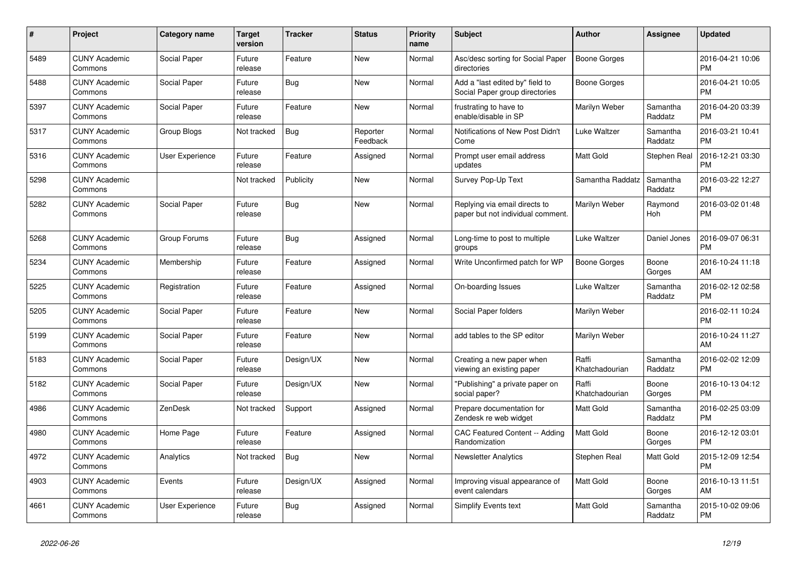| $\#$ | Project                         | <b>Category name</b>   | <b>Target</b><br>version | <b>Tracker</b> | <b>Status</b>        | <b>Priority</b><br>name | <b>Subject</b>                                                     | <b>Author</b>           | <b>Assignee</b>     | <b>Updated</b>                |
|------|---------------------------------|------------------------|--------------------------|----------------|----------------------|-------------------------|--------------------------------------------------------------------|-------------------------|---------------------|-------------------------------|
| 5489 | <b>CUNY Academic</b><br>Commons | Social Paper           | Future<br>release        | Feature        | <b>New</b>           | Normal                  | Asc/desc sorting for Social Paper<br>directories                   | Boone Gorges            |                     | 2016-04-21 10:06<br><b>PM</b> |
| 5488 | <b>CUNY Academic</b><br>Commons | Social Paper           | Future<br>release        | Bug            | <b>New</b>           | Normal                  | Add a "last edited by" field to<br>Social Paper group directories  | Boone Gorges            |                     | 2016-04-21 10:05<br><b>PM</b> |
| 5397 | <b>CUNY Academic</b><br>Commons | Social Paper           | Future<br>release        | Feature        | <b>New</b>           | Normal                  | frustrating to have to<br>enable/disable in SP                     | Marilyn Weber           | Samantha<br>Raddatz | 2016-04-20 03:39<br><b>PM</b> |
| 5317 | <b>CUNY Academic</b><br>Commons | Group Blogs            | Not tracked              | <b>Bug</b>     | Reporter<br>Feedback | Normal                  | Notifications of New Post Didn't<br>Come                           | Luke Waltzer            | Samantha<br>Raddatz | 2016-03-21 10:41<br><b>PM</b> |
| 5316 | <b>CUNY Academic</b><br>Commons | User Experience        | Future<br>release        | Feature        | Assigned             | Normal                  | Prompt user email address<br>updates                               | <b>Matt Gold</b>        | Stephen Real        | 2016-12-21 03:30<br><b>PM</b> |
| 5298 | <b>CUNY Academic</b><br>Commons |                        | Not tracked              | Publicity      | <b>New</b>           | Normal                  | Survey Pop-Up Text                                                 | Samantha Raddatz        | Samantha<br>Raddatz | 2016-03-22 12:27<br><b>PM</b> |
| 5282 | <b>CUNY Academic</b><br>Commons | Social Paper           | Future<br>release        | Bug            | <b>New</b>           | Normal                  | Replying via email directs to<br>paper but not individual comment. | Marilyn Weber           | Raymond<br>Hoh      | 2016-03-02 01:48<br><b>PM</b> |
| 5268 | <b>CUNY Academic</b><br>Commons | Group Forums           | Future<br>release        | <b>Bug</b>     | Assigned             | Normal                  | Long-time to post to multiple<br>groups                            | Luke Waltzer            | Daniel Jones        | 2016-09-07 06:31<br><b>PM</b> |
| 5234 | <b>CUNY Academic</b><br>Commons | Membership             | Future<br>release        | Feature        | Assigned             | Normal                  | Write Unconfirmed patch for WP                                     | <b>Boone Gorges</b>     | Boone<br>Gorges     | 2016-10-24 11:18<br>AM        |
| 5225 | <b>CUNY Academic</b><br>Commons | Registration           | Future<br>release        | Feature        | Assigned             | Normal                  | On-boarding Issues                                                 | Luke Waltzer            | Samantha<br>Raddatz | 2016-02-12 02:58<br><b>PM</b> |
| 5205 | <b>CUNY Academic</b><br>Commons | Social Paper           | Future<br>release        | Feature        | New                  | Normal                  | Social Paper folders                                               | Marilyn Weber           |                     | 2016-02-11 10:24<br><b>PM</b> |
| 5199 | <b>CUNY Academic</b><br>Commons | Social Paper           | Future<br>release        | Feature        | New                  | Normal                  | add tables to the SP editor                                        | Marilyn Weber           |                     | 2016-10-24 11:27<br>AM        |
| 5183 | <b>CUNY Academic</b><br>Commons | Social Paper           | Future<br>release        | Design/UX      | <b>New</b>           | Normal                  | Creating a new paper when<br>viewing an existing paper             | Raffi<br>Khatchadourian | Samantha<br>Raddatz | 2016-02-02 12:09<br><b>PM</b> |
| 5182 | <b>CUNY Academic</b><br>Commons | Social Paper           | Future<br>release        | Design/UX      | <b>New</b>           | Normal                  | "Publishing" a private paper on<br>social paper?                   | Raffi<br>Khatchadourian | Boone<br>Gorges     | 2016-10-13 04:12<br><b>PM</b> |
| 4986 | <b>CUNY Academic</b><br>Commons | ZenDesk                | Not tracked              | Support        | Assigned             | Normal                  | Prepare documentation for<br>Zendesk re web widget                 | <b>Matt Gold</b>        | Samantha<br>Raddatz | 2016-02-25 03:09<br><b>PM</b> |
| 4980 | <b>CUNY Academic</b><br>Commons | Home Page              | Future<br>release        | Feature        | Assigned             | Normal                  | CAC Featured Content -- Adding<br>Randomization                    | <b>Matt Gold</b>        | Boone<br>Gorges     | 2016-12-12 03:01<br><b>PM</b> |
| 4972 | <b>CUNY Academic</b><br>Commons | Analytics              | Not tracked              | Bug            | <b>New</b>           | Normal                  | <b>Newsletter Analytics</b>                                        | Stephen Real            | Matt Gold           | 2015-12-09 12:54<br><b>PM</b> |
| 4903 | <b>CUNY Academic</b><br>Commons | Events                 | Future<br>release        | Design/UX      | Assigned             | Normal                  | Improving visual appearance of<br>event calendars                  | <b>Matt Gold</b>        | Boone<br>Gorges     | 2016-10-13 11:51<br>AM        |
| 4661 | <b>CUNY Academic</b><br>Commons | <b>User Experience</b> | Future<br>release        | <b>Bug</b>     | Assigned             | Normal                  | Simplify Events text                                               | <b>Matt Gold</b>        | Samantha<br>Raddatz | 2015-10-02 09:06<br><b>PM</b> |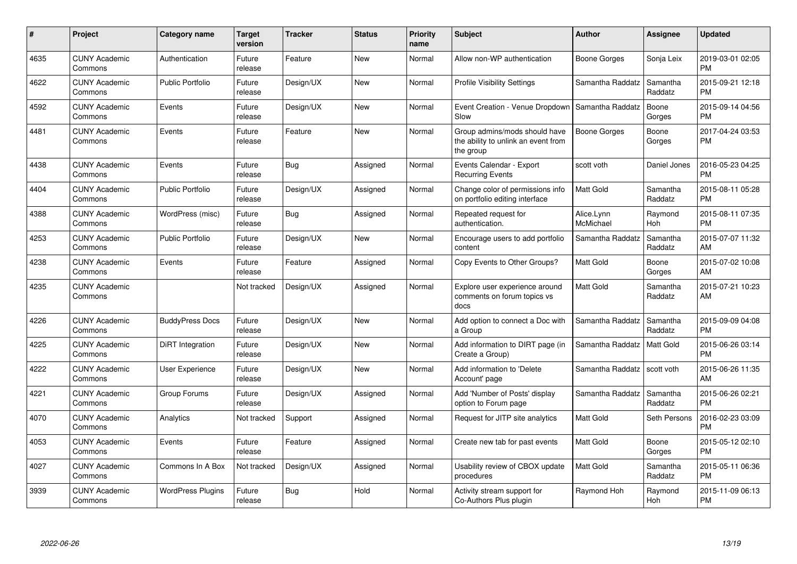| #    | Project                         | <b>Category name</b>     | Target<br>version | <b>Tracker</b> | <b>Status</b> | <b>Priority</b><br>name | <b>Subject</b>                                                                    | <b>Author</b>           | <b>Assignee</b>       | <b>Updated</b>                |
|------|---------------------------------|--------------------------|-------------------|----------------|---------------|-------------------------|-----------------------------------------------------------------------------------|-------------------------|-----------------------|-------------------------------|
| 4635 | <b>CUNY Academic</b><br>Commons | Authentication           | Future<br>release | Feature        | <b>New</b>    | Normal                  | Allow non-WP authentication                                                       | Boone Gorges            | Sonja Leix            | 2019-03-01 02:05<br><b>PM</b> |
| 4622 | <b>CUNY Academic</b><br>Commons | <b>Public Portfolio</b>  | Future<br>release | Design/UX      | New           | Normal                  | <b>Profile Visibility Settings</b>                                                | Samantha Raddatz        | Samantha<br>Raddatz   | 2015-09-21 12:18<br><b>PM</b> |
| 4592 | <b>CUNY Academic</b><br>Commons | Events                   | Future<br>release | Design/UX      | New           | Normal                  | Event Creation - Venue Dropdown<br>Slow                                           | Samantha Raddatz        | Boone<br>Gorges       | 2015-09-14 04:56<br><b>PM</b> |
| 4481 | <b>CUNY Academic</b><br>Commons | Events                   | Future<br>release | Feature        | <b>New</b>    | Normal                  | Group admins/mods should have<br>the ability to unlink an event from<br>the group | Boone Gorges            | Boone<br>Gorges       | 2017-04-24 03:53<br><b>PM</b> |
| 4438 | <b>CUNY Academic</b><br>Commons | Events                   | Future<br>release | Bug            | Assigned      | Normal                  | Events Calendar - Export<br><b>Recurring Events</b>                               | scott voth              | Daniel Jones          | 2016-05-23 04:25<br><b>PM</b> |
| 4404 | <b>CUNY Academic</b><br>Commons | <b>Public Portfolio</b>  | Future<br>release | Design/UX      | Assigned      | Normal                  | Change color of permissions info<br>on portfolio editing interface                | Matt Gold               | Samantha<br>Raddatz   | 2015-08-11 05:28<br><b>PM</b> |
| 4388 | <b>CUNY Academic</b><br>Commons | WordPress (misc)         | Future<br>release | Bug            | Assigned      | Normal                  | Repeated request for<br>authentication.                                           | Alice.Lynn<br>McMichael | Raymond<br><b>Hoh</b> | 2015-08-11 07:35<br><b>PM</b> |
| 4253 | <b>CUNY Academic</b><br>Commons | <b>Public Portfolio</b>  | Future<br>release | Design/UX      | <b>New</b>    | Normal                  | Encourage users to add portfolio<br>content                                       | Samantha Raddatz        | Samantha<br>Raddatz   | 2015-07-07 11:32<br>AM        |
| 4238 | <b>CUNY Academic</b><br>Commons | Events                   | Future<br>release | Feature        | Assigned      | Normal                  | Copy Events to Other Groups?                                                      | Matt Gold               | Boone<br>Gorges       | 2015-07-02 10:08<br>AM        |
| 4235 | <b>CUNY Academic</b><br>Commons |                          | Not tracked       | Design/UX      | Assigned      | Normal                  | Explore user experience around<br>comments on forum topics vs<br>docs             | Matt Gold               | Samantha<br>Raddatz   | 2015-07-21 10:23<br>AM        |
| 4226 | <b>CUNY Academic</b><br>Commons | <b>BuddyPress Docs</b>   | Future<br>release | Design/UX      | <b>New</b>    | Normal                  | Add option to connect a Doc with<br>a Group                                       | Samantha Raddatz        | Samantha<br>Raddatz   | 2015-09-09 04:08<br><b>PM</b> |
| 4225 | <b>CUNY Academic</b><br>Commons | DiRT Integration         | Future<br>release | Design/UX      | <b>New</b>    | Normal                  | Add information to DIRT page (in<br>Create a Group)                               | Samantha Raddatz        | Matt Gold             | 2015-06-26 03:14<br><b>PM</b> |
| 4222 | <b>CUNY Academic</b><br>Commons | <b>User Experience</b>   | Future<br>release | Design/UX      | <b>New</b>    | Normal                  | Add information to 'Delete<br>Account' page                                       | Samantha Raddatz        | scott voth            | 2015-06-26 11:35<br>AM        |
| 4221 | <b>CUNY Academic</b><br>Commons | Group Forums             | Future<br>release | Design/UX      | Assigned      | Normal                  | Add 'Number of Posts' display<br>option to Forum page                             | Samantha Raddatz        | Samantha<br>Raddatz   | 2015-06-26 02:21<br><b>PM</b> |
| 4070 | <b>CUNY Academic</b><br>Commons | Analytics                | Not tracked       | Support        | Assigned      | Normal                  | Request for JITP site analytics                                                   | <b>Matt Gold</b>        | Seth Persons          | 2016-02-23 03:09<br><b>PM</b> |
| 4053 | <b>CUNY Academic</b><br>Commons | Events                   | Future<br>release | Feature        | Assigned      | Normal                  | Create new tab for past events                                                    | Matt Gold               | Boone<br>Gorges       | 2015-05-12 02:10<br><b>PM</b> |
| 4027 | <b>CUNY Academic</b><br>Commons | Commons In A Box         | Not tracked       | Design/UX      | Assigned      | Normal                  | Usability review of CBOX update<br>procedures                                     | <b>Matt Gold</b>        | Samantha<br>Raddatz   | 2015-05-11 06:36<br>PM        |
| 3939 | <b>CUNY Academic</b><br>Commons | <b>WordPress Plugins</b> | Future<br>release | Bug            | Hold          | Normal                  | Activity stream support for<br>Co-Authors Plus plugin                             | Raymond Hoh             | Raymond<br>Hoh        | 2015-11-09 06:13<br><b>PM</b> |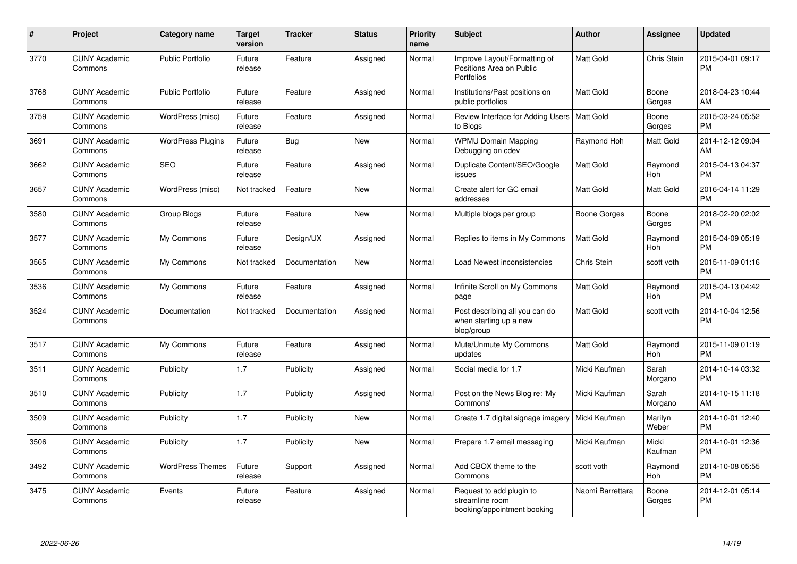| #    | <b>Project</b>                  | <b>Category name</b>     | <b>Target</b><br>version | <b>Tracker</b> | <b>Status</b> | <b>Priority</b><br>name | <b>Subject</b>                                                                | <b>Author</b>      | <b>Assignee</b>       | <b>Updated</b>                |
|------|---------------------------------|--------------------------|--------------------------|----------------|---------------|-------------------------|-------------------------------------------------------------------------------|--------------------|-----------------------|-------------------------------|
| 3770 | <b>CUNY Academic</b><br>Commons | <b>Public Portfolio</b>  | Future<br>release        | Feature        | Assigned      | Normal                  | Improve Layout/Formatting of<br>Positions Area on Public<br><b>Portfolios</b> | <b>Matt Gold</b>   | Chris Stein           | 2015-04-01 09:17<br><b>PM</b> |
| 3768 | <b>CUNY Academic</b><br>Commons | <b>Public Portfolio</b>  | Future<br>release        | Feature        | Assigned      | Normal                  | Institutions/Past positions on<br>public portfolios                           | Matt Gold          | Boone<br>Gorges       | 2018-04-23 10:44<br>AM        |
| 3759 | <b>CUNY Academic</b><br>Commons | WordPress (misc)         | Future<br>release        | Feature        | Assigned      | Normal                  | Review Interface for Adding Users   Matt Gold<br>to Blogs                     |                    | Boone<br>Gorges       | 2015-03-24 05:52<br><b>PM</b> |
| 3691 | <b>CUNY Academic</b><br>Commons | <b>WordPress Plugins</b> | Future<br>release        | <b>Bug</b>     | <b>New</b>    | Normal                  | <b>WPMU Domain Mapping</b><br>Debugging on cdev                               | Raymond Hoh        | Matt Gold             | 2014-12-12 09:04<br>AM        |
| 3662 | <b>CUNY Academic</b><br>Commons | <b>SEO</b>               | Future<br>release        | Feature        | Assigned      | Normal                  | Duplicate Content/SEO/Google<br>issues                                        | Matt Gold          | Raymond<br><b>Hoh</b> | 2015-04-13 04:37<br><b>PM</b> |
| 3657 | <b>CUNY Academic</b><br>Commons | WordPress (misc)         | Not tracked              | Feature        | <b>New</b>    | Normal                  | Create alert for GC email<br>addresses                                        | Matt Gold          | Matt Gold             | 2016-04-14 11:29<br><b>PM</b> |
| 3580 | <b>CUNY Academic</b><br>Commons | Group Blogs              | Future<br>release        | Feature        | <b>New</b>    | Normal                  | Multiple blogs per group                                                      | Boone Gorges       | Boone<br>Gorges       | 2018-02-20 02:02<br><b>PM</b> |
| 3577 | <b>CUNY Academic</b><br>Commons | My Commons               | Future<br>release        | Design/UX      | Assigned      | Normal                  | Replies to items in My Commons                                                | <b>Matt Gold</b>   | Raymond<br>Hoh        | 2015-04-09 05:19<br><b>PM</b> |
| 3565 | <b>CUNY Academic</b><br>Commons | My Commons               | Not tracked              | Documentation  | <b>New</b>    | Normal                  | Load Newest inconsistencies                                                   | <b>Chris Stein</b> | scott voth            | 2015-11-09 01:16<br><b>PM</b> |
| 3536 | <b>CUNY Academic</b><br>Commons | My Commons               | Future<br>release        | Feature        | Assigned      | Normal                  | Infinite Scroll on My Commons<br>page                                         | <b>Matt Gold</b>   | Raymond<br>Hoh        | 2015-04-13 04:42<br><b>PM</b> |
| 3524 | <b>CUNY Academic</b><br>Commons | Documentation            | Not tracked              | Documentation  | Assigned      | Normal                  | Post describing all you can do<br>when starting up a new<br>blog/group        | Matt Gold          | scott voth            | 2014-10-04 12:56<br><b>PM</b> |
| 3517 | <b>CUNY Academic</b><br>Commons | My Commons               | Future<br>release        | Feature        | Assigned      | Normal                  | Mute/Unmute My Commons<br>updates                                             | Matt Gold          | Raymond<br>Hoh        | 2015-11-09 01:19<br><b>PM</b> |
| 3511 | <b>CUNY Academic</b><br>Commons | Publicity                | 1.7                      | Publicity      | Assigned      | Normal                  | Social media for 1.7                                                          | Micki Kaufman      | Sarah<br>Morgano      | 2014-10-14 03:32<br><b>PM</b> |
| 3510 | <b>CUNY Academic</b><br>Commons | Publicity                | 1.7                      | Publicity      | Assigned      | Normal                  | Post on the News Blog re: 'My<br>Commons'                                     | Micki Kaufman      | Sarah<br>Morgano      | 2014-10-15 11:18<br>AM        |
| 3509 | <b>CUNY Academic</b><br>Commons | Publicity                | 1.7                      | Publicity      | New           | Normal                  | Create 1.7 digital signage imagery   Micki Kaufman                            |                    | Marilyn<br>Weber      | 2014-10-01 12:40<br><b>PM</b> |
| 3506 | <b>CUNY Academic</b><br>Commons | Publicity                | 1.7                      | Publicity      | <b>New</b>    | Normal                  | Prepare 1.7 email messaging                                                   | Micki Kaufman      | Micki<br>Kaufman      | 2014-10-01 12:36<br><b>PM</b> |
| 3492 | <b>CUNY Academic</b><br>Commons | <b>WordPress Themes</b>  | Future<br>release        | Support        | Assigned      | Normal                  | Add CBOX theme to the<br>Commons                                              | scott voth         | Raymond<br>Hoh        | 2014-10-08 05:55<br><b>PM</b> |
| 3475 | <b>CUNY Academic</b><br>Commons | Events                   | Future<br>release        | Feature        | Assigned      | Normal                  | Request to add plugin to<br>streamline room<br>booking/appointment booking    | Naomi Barrettara   | Boone<br>Gorges       | 2014-12-01 05:14<br><b>PM</b> |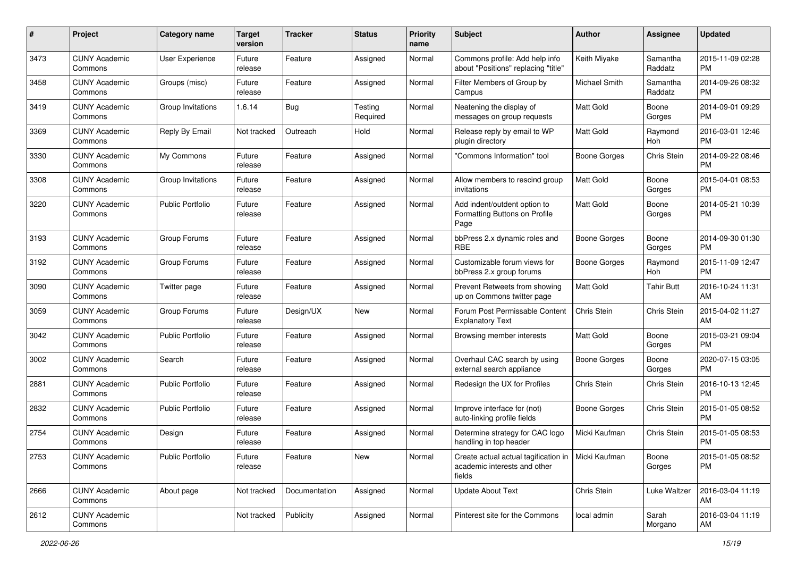| #    | Project                         | <b>Category name</b>    | <b>Target</b><br>version | <b>Tracker</b> | <b>Status</b>       | <b>Priority</b><br>name | Subject                                                                                        | Author              | <b>Assignee</b>     | <b>Updated</b>                |
|------|---------------------------------|-------------------------|--------------------------|----------------|---------------------|-------------------------|------------------------------------------------------------------------------------------------|---------------------|---------------------|-------------------------------|
| 3473 | <b>CUNY Academic</b><br>Commons | User Experience         | Future<br>release        | Feature        | Assigned            | Normal                  | Commons profile: Add help info<br>about "Positions" replacing "title"                          | Keith Miyake        | Samantha<br>Raddatz | 2015-11-09 02:28<br><b>PM</b> |
| 3458 | <b>CUNY Academic</b><br>Commons | Groups (misc)           | Future<br>release        | Feature        | Assigned            | Normal                  | Filter Members of Group by<br>Campus                                                           | Michael Smith       | Samantha<br>Raddatz | 2014-09-26 08:32<br><b>PM</b> |
| 3419 | <b>CUNY Academic</b><br>Commons | Group Invitations       | 1.6.14                   | <b>Bug</b>     | Testing<br>Required | Normal                  | Neatening the display of<br>messages on group requests                                         | Matt Gold           | Boone<br>Gorges     | 2014-09-01 09:29<br><b>PM</b> |
| 3369 | <b>CUNY Academic</b><br>Commons | Reply By Email          | Not tracked              | Outreach       | Hold                | Normal                  | Release reply by email to WP<br>plugin directory                                               | <b>Matt Gold</b>    | Raymond<br>Hoh      | 2016-03-01 12:46<br><b>PM</b> |
| 3330 | <b>CUNY Academic</b><br>Commons | My Commons              | Future<br>release        | Feature        | Assigned            | Normal                  | 'Commons Information" tool                                                                     | <b>Boone Gorges</b> | Chris Stein         | 2014-09-22 08:46<br><b>PM</b> |
| 3308 | <b>CUNY Academic</b><br>Commons | Group Invitations       | Future<br>release        | Feature        | Assigned            | Normal                  | Allow members to rescind group<br>invitations                                                  | <b>Matt Gold</b>    | Boone<br>Gorges     | 2015-04-01 08:53<br><b>PM</b> |
| 3220 | <b>CUNY Academic</b><br>Commons | <b>Public Portfolio</b> | Future<br>release        | Feature        | Assigned            | Normal                  | Add indent/outdent option to<br>Formatting Buttons on Profile<br>Page                          | Matt Gold           | Boone<br>Gorges     | 2014-05-21 10:39<br><b>PM</b> |
| 3193 | <b>CUNY Academic</b><br>Commons | Group Forums            | Future<br>release        | Feature        | Assigned            | Normal                  | bbPress 2.x dynamic roles and<br><b>RBE</b>                                                    | <b>Boone Gorges</b> | Boone<br>Gorges     | 2014-09-30 01:30<br><b>PM</b> |
| 3192 | <b>CUNY Academic</b><br>Commons | Group Forums            | Future<br>release        | Feature        | Assigned            | Normal                  | Customizable forum views for<br>bbPress 2.x group forums                                       | <b>Boone Gorges</b> | Raymond<br>Hoh      | 2015-11-09 12:47<br><b>PM</b> |
| 3090 | <b>CUNY Academic</b><br>Commons | Twitter page            | Future<br>release        | Feature        | Assigned            | Normal                  | Prevent Retweets from showing<br>up on Commons twitter page                                    | <b>Matt Gold</b>    | <b>Tahir Butt</b>   | 2016-10-24 11:31<br>AM        |
| 3059 | <b>CUNY Academic</b><br>Commons | Group Forums            | Future<br>release        | Design/UX      | New                 | Normal                  | Forum Post Permissable Content<br><b>Explanatory Text</b>                                      | Chris Stein         | Chris Stein         | 2015-04-02 11:27<br>AM        |
| 3042 | CUNY Academic<br>Commons        | <b>Public Portfolio</b> | Future<br>release        | Feature        | Assigned            | Normal                  | Browsing member interests                                                                      | Matt Gold           | Boone<br>Gorges     | 2015-03-21 09:04<br><b>PM</b> |
| 3002 | <b>CUNY Academic</b><br>Commons | Search                  | Future<br>release        | Feature        | Assigned            | Normal                  | Overhaul CAC search by using<br>external search appliance                                      | <b>Boone Gorges</b> | Boone<br>Gorges     | 2020-07-15 03:05<br><b>PM</b> |
| 2881 | <b>CUNY Academic</b><br>Commons | <b>Public Portfolio</b> | Future<br>release        | Feature        | Assigned            | Normal                  | Redesign the UX for Profiles                                                                   | Chris Stein         | Chris Stein         | 2016-10-13 12:45<br><b>PM</b> |
| 2832 | <b>CUNY Academic</b><br>Commons | <b>Public Portfolio</b> | Future<br>release        | Feature        | Assigned            | Normal                  | Improve interface for (not)<br>auto-linking profile fields                                     | <b>Boone Gorges</b> | Chris Stein         | 2015-01-05 08:52<br><b>PM</b> |
| 2754 | <b>CUNY Academic</b><br>Commons | Design                  | Future<br>release        | Feature        | Assigned            | Normal                  | Determine strategy for CAC logo<br>handling in top header                                      | Micki Kaufman       | Chris Stein         | 2015-01-05 08:53<br><b>PM</b> |
| 2753 | <b>CUNY Academic</b><br>Commons | Public Portfolio        | Future<br>release        | Feature        | New                 | Normal                  | Create actual actual tagification in   Micki Kaufman<br>academic interests and other<br>fields |                     | Boone<br>Gorges     | 2015-01-05 08:52<br>PM        |
| 2666 | <b>CUNY Academic</b><br>Commons | About page              | Not tracked              | Documentation  | Assigned            | Normal                  | <b>Update About Text</b>                                                                       | Chris Stein         | Luke Waltzer        | 2016-03-04 11:19<br>AM        |
| 2612 | <b>CUNY Academic</b><br>Commons |                         | Not tracked              | Publicity      | Assigned            | Normal                  | Pinterest site for the Commons                                                                 | local admin         | Sarah<br>Morgano    | 2016-03-04 11:19<br>AM        |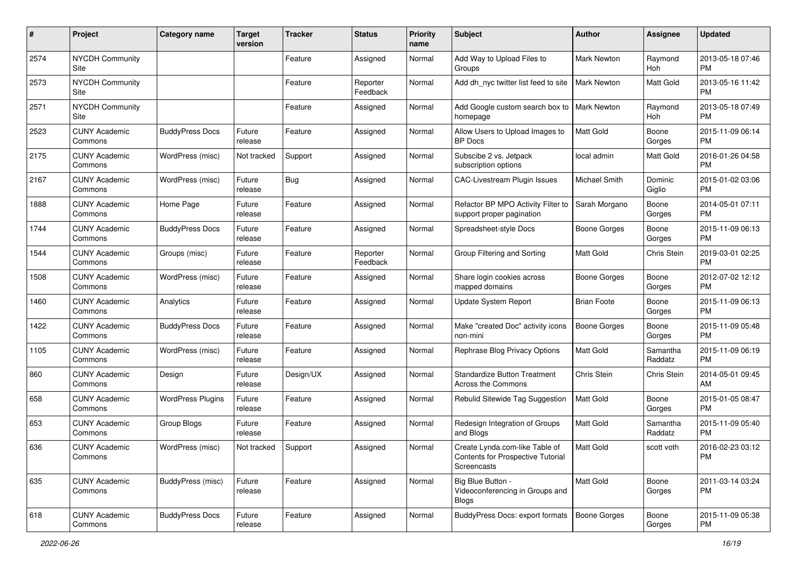| #    | Project                         | <b>Category name</b>     | <b>Target</b><br>version | <b>Tracker</b> | <b>Status</b>        | <b>Priority</b><br>name | Subject                                                                            | Author              | <b>Assignee</b>     | <b>Updated</b>                |
|------|---------------------------------|--------------------------|--------------------------|----------------|----------------------|-------------------------|------------------------------------------------------------------------------------|---------------------|---------------------|-------------------------------|
| 2574 | <b>NYCDH Community</b><br>Site  |                          |                          | Feature        | Assigned             | Normal                  | Add Way to Upload Files to<br>Groups                                               | <b>Mark Newton</b>  | Raymond<br>Hoh      | 2013-05-18 07:46<br>PM        |
| 2573 | <b>NYCDH Community</b><br>Site  |                          |                          | Feature        | Reporter<br>Feedback | Normal                  | Add dh nyc twitter list feed to site                                               | <b>Mark Newton</b>  | Matt Gold           | 2013-05-16 11:42<br><b>PM</b> |
| 2571 | <b>NYCDH Community</b><br>Site  |                          |                          | Feature        | Assigned             | Normal                  | Add Google custom search box to<br>homepage                                        | <b>Mark Newton</b>  | Raymond<br>Hoh      | 2013-05-18 07:49<br><b>PM</b> |
| 2523 | <b>CUNY Academic</b><br>Commons | <b>BuddyPress Docs</b>   | Future<br>release        | Feature        | Assigned             | Normal                  | Allow Users to Upload Images to<br><b>BP</b> Docs                                  | <b>Matt Gold</b>    | Boone<br>Gorges     | 2015-11-09 06:14<br>PM        |
| 2175 | <b>CUNY Academic</b><br>Commons | WordPress (misc)         | Not tracked              | Support        | Assigned             | Normal                  | Subscibe 2 vs. Jetpack<br>subscription options                                     | local admin         | Matt Gold           | 2016-01-26 04:58<br><b>PM</b> |
| 2167 | <b>CUNY Academic</b><br>Commons | WordPress (misc)         | Future<br>release        | Bug            | Assigned             | Normal                  | <b>CAC-Livestream Plugin Issues</b>                                                | Michael Smith       | Dominic<br>Giglio   | 2015-01-02 03:06<br><b>PM</b> |
| 1888 | <b>CUNY Academic</b><br>Commons | Home Page                | Future<br>release        | Feature        | Assigned             | Normal                  | Refactor BP MPO Activity Filter to<br>support proper pagination                    | Sarah Morgano       | Boone<br>Gorges     | 2014-05-01 07:11<br>PM        |
| 1744 | <b>CUNY Academic</b><br>Commons | <b>BuddyPress Docs</b>   | Future<br>release        | Feature        | Assigned             | Normal                  | Spreadsheet-style Docs                                                             | <b>Boone Gorges</b> | Boone<br>Gorges     | 2015-11-09 06:13<br>PM        |
| 1544 | <b>CUNY Academic</b><br>Commons | Groups (misc)            | Future<br>release        | Feature        | Reporter<br>Feedback | Normal                  | Group Filtering and Sorting                                                        | Matt Gold           | Chris Stein         | 2019-03-01 02:25<br><b>PM</b> |
| 1508 | <b>CUNY Academic</b><br>Commons | WordPress (misc)         | Future<br>release        | Feature        | Assigned             | Normal                  | Share login cookies across<br>mapped domains                                       | Boone Gorges        | Boone<br>Gorges     | 2012-07-02 12:12<br><b>PM</b> |
| 1460 | <b>CUNY Academic</b><br>Commons | Analytics                | Future<br>release        | Feature        | Assigned             | Normal                  | Update System Report                                                               | <b>Brian Foote</b>  | Boone<br>Gorges     | 2015-11-09 06:13<br><b>PM</b> |
| 1422 | <b>CUNY Academic</b><br>Commons | <b>BuddyPress Docs</b>   | Future<br>release        | Feature        | Assigned             | Normal                  | Make "created Doc" activity icons<br>non-mini                                      | <b>Boone Gorges</b> | Boone<br>Gorges     | 2015-11-09 05:48<br><b>PM</b> |
| 1105 | <b>CUNY Academic</b><br>Commons | WordPress (misc)         | Future<br>release        | Feature        | Assigned             | Normal                  | Rephrase Blog Privacy Options                                                      | Matt Gold           | Samantha<br>Raddatz | 2015-11-09 06:19<br><b>PM</b> |
| 860  | <b>CUNY Academic</b><br>Commons | Design                   | Future<br>release        | Design/UX      | Assigned             | Normal                  | <b>Standardize Button Treatment</b><br>Across the Commons                          | Chris Stein         | Chris Stein         | 2014-05-01 09:45<br>AM        |
| 658  | <b>CUNY Academic</b><br>Commons | <b>WordPress Plugins</b> | Future<br>release        | Feature        | Assigned             | Normal                  | Rebulid Sitewide Tag Suggestion                                                    | Matt Gold           | Boone<br>Gorges     | 2015-01-05 08:47<br>PM        |
| 653  | <b>CUNY Academic</b><br>Commons | Group Blogs              | Future<br>release        | Feature        | Assigned             | Normal                  | Redesign Integration of Groups<br>and Blogs                                        | <b>Matt Gold</b>    | Samantha<br>Raddatz | 2015-11-09 05:40<br><b>PM</b> |
| 636  | <b>CUNY Academic</b><br>Commons | WordPress (misc)         | Not tracked              | Support        | Assigned             | Normal                  | Create Lynda.com-like Table of<br>Contents for Prospective Tutorial<br>Screencasts | <b>Matt Gold</b>    | scott voth          | 2016-02-23 03:12<br>PM        |
| 635  | <b>CUNY Academic</b><br>Commons | BuddyPress (misc)        | Future<br>release        | Feature        | Assigned             | Normal                  | Big Blue Button -<br>Videoconferencing in Groups and<br>Blogs                      | Matt Gold           | Boone<br>Gorges     | 2011-03-14 03:24<br><b>PM</b> |
| 618  | <b>CUNY Academic</b><br>Commons | <b>BuddyPress Docs</b>   | Future<br>release        | Feature        | Assigned             | Normal                  | BuddyPress Docs: export formats                                                    | Boone Gorges        | Boone<br>Gorges     | 2015-11-09 05:38<br><b>PM</b> |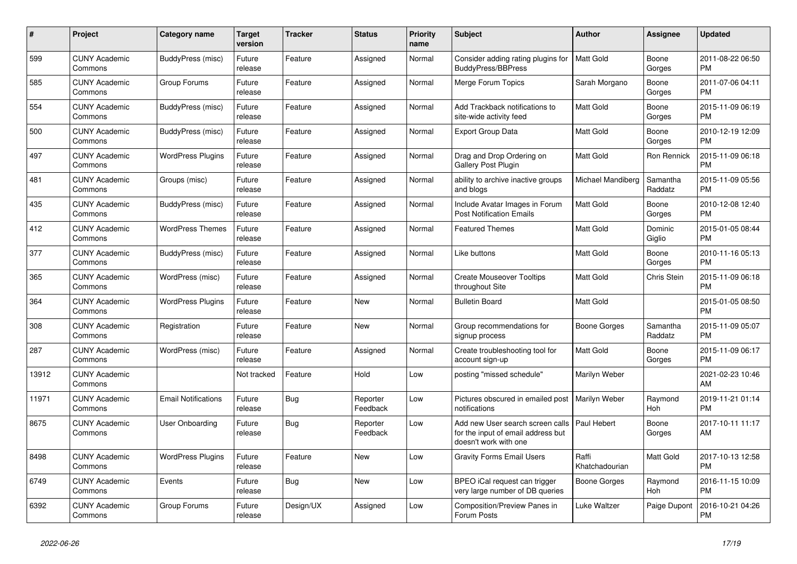| $\pmb{\#}$ | <b>Project</b>                  | Category name              | <b>Target</b><br>version | <b>Tracker</b> | <b>Status</b>        | <b>Priority</b><br>name | <b>Subject</b>                                                                                  | <b>Author</b>           | <b>Assignee</b>       | <b>Updated</b>                |
|------------|---------------------------------|----------------------------|--------------------------|----------------|----------------------|-------------------------|-------------------------------------------------------------------------------------------------|-------------------------|-----------------------|-------------------------------|
| 599        | <b>CUNY Academic</b><br>Commons | BuddyPress (misc)          | Future<br>release        | Feature        | Assigned             | Normal                  | Consider adding rating plugins for<br><b>BuddyPress/BBPress</b>                                 | <b>Matt Gold</b>        | Boone<br>Gorges       | 2011-08-22 06:50<br><b>PM</b> |
| 585        | <b>CUNY Academic</b><br>Commons | Group Forums               | Future<br>release        | Feature        | Assigned             | Normal                  | Merge Forum Topics                                                                              | Sarah Morgano           | Boone<br>Gorges       | 2011-07-06 04:11<br><b>PM</b> |
| 554        | <b>CUNY Academic</b><br>Commons | BuddyPress (misc)          | Future<br>release        | Feature        | Assigned             | Normal                  | Add Trackback notifications to<br>site-wide activity feed                                       | Matt Gold               | Boone<br>Gorges       | 2015-11-09 06:19<br><b>PM</b> |
| 500        | <b>CUNY Academic</b><br>Commons | BuddyPress (misc)          | Future<br>release        | Feature        | Assigned             | Normal                  | <b>Export Group Data</b>                                                                        | Matt Gold               | Boone<br>Gorges       | 2010-12-19 12:09<br><b>PM</b> |
| 497        | <b>CUNY Academic</b><br>Commons | <b>WordPress Plugins</b>   | Future<br>release        | Feature        | Assigned             | Normal                  | Drag and Drop Ordering on<br><b>Gallery Post Plugin</b>                                         | <b>Matt Gold</b>        | Ron Rennick           | 2015-11-09 06:18<br><b>PM</b> |
| 481        | <b>CUNY Academic</b><br>Commons | Groups (misc)              | Future<br>release        | Feature        | Assigned             | Normal                  | ability to archive inactive groups<br>and blogs                                                 | Michael Mandiberg       | Samantha<br>Raddatz   | 2015-11-09 05:56<br><b>PM</b> |
| 435        | <b>CUNY Academic</b><br>Commons | BuddyPress (misc)          | Future<br>release        | Feature        | Assigned             | Normal                  | Include Avatar Images in Forum<br><b>Post Notification Emails</b>                               | Matt Gold               | Boone<br>Gorges       | 2010-12-08 12:40<br><b>PM</b> |
| 412        | <b>CUNY Academic</b><br>Commons | <b>WordPress Themes</b>    | Future<br>release        | Feature        | Assigned             | Normal                  | <b>Featured Themes</b>                                                                          | <b>Matt Gold</b>        | Dominic<br>Giglio     | 2015-01-05 08:44<br><b>PM</b> |
| 377        | <b>CUNY Academic</b><br>Commons | BuddyPress (misc)          | Future<br>release        | Feature        | Assigned             | Normal                  | Like buttons                                                                                    | Matt Gold               | Boone<br>Gorges       | 2010-11-16 05:13<br><b>PM</b> |
| 365        | <b>CUNY Academic</b><br>Commons | WordPress (misc)           | Future<br>release        | Feature        | Assigned             | Normal                  | <b>Create Mouseover Tooltips</b><br>throughout Site                                             | Matt Gold               | Chris Stein           | 2015-11-09 06:18<br><b>PM</b> |
| 364        | <b>CUNY Academic</b><br>Commons | <b>WordPress Plugins</b>   | Future<br>release        | Feature        | <b>New</b>           | Normal                  | <b>Bulletin Board</b>                                                                           | <b>Matt Gold</b>        |                       | 2015-01-05 08:50<br><b>PM</b> |
| 308        | <b>CUNY Academic</b><br>Commons | Registration               | Future<br>release        | Feature        | New                  | Normal                  | Group recommendations for<br>signup process                                                     | Boone Gorges            | Samantha<br>Raddatz   | 2015-11-09 05:07<br><b>PM</b> |
| 287        | <b>CUNY Academic</b><br>Commons | WordPress (misc)           | Future<br>release        | Feature        | Assigned             | Normal                  | Create troubleshooting tool for<br>account sign-up                                              | <b>Matt Gold</b>        | Boone<br>Gorges       | 2015-11-09 06:17<br><b>PM</b> |
| 13912      | <b>CUNY Academic</b><br>Commons |                            | Not tracked              | Feature        | Hold                 | Low                     | posting "missed schedule"                                                                       | Marilyn Weber           |                       | 2021-02-23 10:46<br>AM        |
| 11971      | <b>CUNY Academic</b><br>Commons | <b>Email Notifications</b> | Future<br>release        | <b>Bug</b>     | Reporter<br>Feedback | Low                     | Pictures obscured in emailed post<br>notifications                                              | Marilyn Weber           | Raymond<br>Hoh        | 2019-11-21 01:14<br><b>PM</b> |
| 8675       | <b>CUNY Academic</b><br>Commons | <b>User Onboarding</b>     | Future<br>release        | <b>Bug</b>     | Reporter<br>Feedback | Low                     | Add new User search screen calls<br>for the input of email address but<br>doesn't work with one | Paul Hebert             | Boone<br>Gorges       | 2017-10-11 11:17<br>AM        |
| 8498       | <b>CUNY Academic</b><br>Commons | <b>WordPress Plugins</b>   | Future<br>release        | Feature        | <b>New</b>           | Low                     | <b>Gravity Forms Email Users</b>                                                                | Raffi<br>Khatchadourian | Matt Gold             | 2017-10-13 12:58<br><b>PM</b> |
| 6749       | <b>CUNY Academic</b><br>Commons | Events                     | Future<br>release        | Bug            | <b>New</b>           | Low                     | BPEO iCal request can trigger<br>very large number of DB queries                                | Boone Gorges            | Raymond<br><b>Hoh</b> | 2016-11-15 10:09<br><b>PM</b> |
| 6392       | <b>CUNY Academic</b><br>Commons | Group Forums               | Future<br>release        | Design/UX      | Assigned             | Low                     | Composition/Preview Panes in<br>Forum Posts                                                     | Luke Waltzer            | Paige Dupont          | 2016-10-21 04:26<br><b>PM</b> |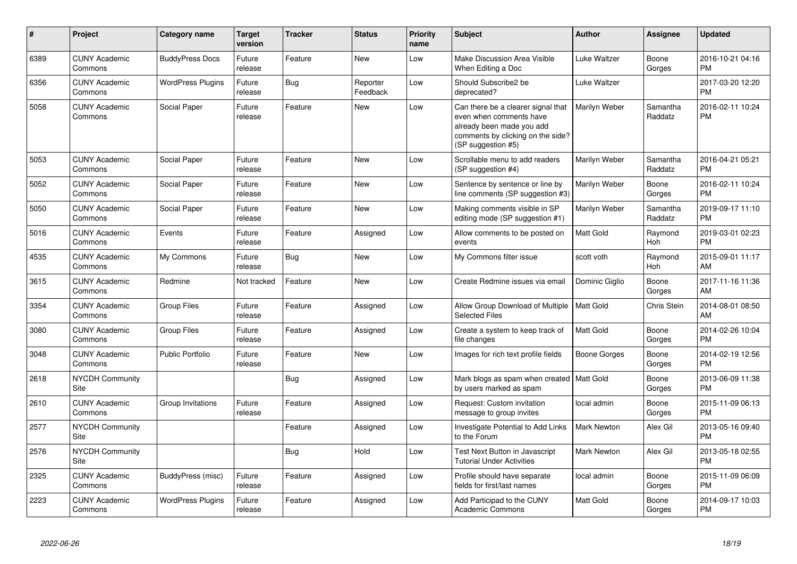| #    | Project                         | <b>Category name</b>     | Target<br>version | <b>Tracker</b> | <b>Status</b>        | <b>Priority</b><br>name | <b>Subject</b>                                                                                                                                        | <b>Author</b>      | <b>Assignee</b>     | <b>Updated</b>                |
|------|---------------------------------|--------------------------|-------------------|----------------|----------------------|-------------------------|-------------------------------------------------------------------------------------------------------------------------------------------------------|--------------------|---------------------|-------------------------------|
| 6389 | <b>CUNY Academic</b><br>Commons | <b>BuddyPress Docs</b>   | Future<br>release | Feature        | <b>New</b>           | Low                     | Make Discussion Area Visible<br>When Editing a Doc                                                                                                    | Luke Waltzer       | Boone<br>Gorges     | 2016-10-21 04:16<br><b>PM</b> |
| 6356 | <b>CUNY Academic</b><br>Commons | <b>WordPress Plugins</b> | Future<br>release | Bug            | Reporter<br>Feedback | Low                     | Should Subscribe2 be<br>deprecated?                                                                                                                   | Luke Waltzer       |                     | 2017-03-20 12:20<br><b>PM</b> |
| 5058 | <b>CUNY Academic</b><br>Commons | Social Paper             | Future<br>release | Feature        | New                  | Low                     | Can there be a clearer signal that<br>even when comments have<br>already been made you add<br>comments by clicking on the side?<br>(SP suggestion #5) | Marilyn Weber      | Samantha<br>Raddatz | 2016-02-11 10:24<br><b>PM</b> |
| 5053 | <b>CUNY Academic</b><br>Commons | Social Paper             | Future<br>release | Feature        | New                  | Low                     | Scrollable menu to add readers<br>(SP suggestion #4)                                                                                                  | Marilyn Weber      | Samantha<br>Raddatz | 2016-04-21 05:21<br><b>PM</b> |
| 5052 | <b>CUNY Academic</b><br>Commons | Social Paper             | Future<br>release | Feature        | New                  | Low                     | Sentence by sentence or line by<br>line comments (SP suggestion #3)                                                                                   | Marilyn Weber      | Boone<br>Gorges     | 2016-02-11 10:24<br><b>PM</b> |
| 5050 | <b>CUNY Academic</b><br>Commons | Social Paper             | Future<br>release | Feature        | New                  | Low                     | Making comments visible in SP<br>editing mode (SP suggestion #1)                                                                                      | Marilyn Weber      | Samantha<br>Raddatz | 2019-09-17 11:10<br><b>PM</b> |
| 5016 | <b>CUNY Academic</b><br>Commons | Events                   | Future<br>release | Feature        | Assigned             | Low                     | Allow comments to be posted on<br>events                                                                                                              | <b>Matt Gold</b>   | Raymond<br>Hoh      | 2019-03-01 02:23<br><b>PM</b> |
| 4535 | <b>CUNY Academic</b><br>Commons | My Commons               | Future<br>release | Bug            | <b>New</b>           | Low                     | My Commons filter issue                                                                                                                               | scott voth         | Raymond<br>Hoh      | 2015-09-01 11:17<br>AM        |
| 3615 | <b>CUNY Academic</b><br>Commons | Redmine                  | Not tracked       | Feature        | <b>New</b>           | Low                     | Create Redmine issues via email                                                                                                                       | Dominic Giglio     | Boone<br>Gorges     | 2017-11-16 11:36<br>AM        |
| 3354 | <b>CUNY Academic</b><br>Commons | <b>Group Files</b>       | Future<br>release | Feature        | Assigned             | Low                     | Allow Group Download of Multiple<br><b>Selected Files</b>                                                                                             | <b>Matt Gold</b>   | Chris Stein         | 2014-08-01 08:50<br>AM        |
| 3080 | <b>CUNY Academic</b><br>Commons | Group Files              | Future<br>release | Feature        | Assigned             | Low                     | Create a system to keep track of<br>file changes                                                                                                      | <b>Matt Gold</b>   | Boone<br>Gorges     | 2014-02-26 10:04<br><b>PM</b> |
| 3048 | <b>CUNY Academic</b><br>Commons | <b>Public Portfolio</b>  | Future<br>release | Feature        | <b>New</b>           | Low                     | Images for rich text profile fields                                                                                                                   | Boone Gorges       | Boone<br>Gorges     | 2014-02-19 12:56<br><b>PM</b> |
| 2618 | <b>NYCDH Community</b><br>Site  |                          |                   | Bug            | Assigned             | Low                     | Mark blogs as spam when created   Matt Gold<br>by users marked as spam                                                                                |                    | Boone<br>Gorges     | 2013-06-09 11:38<br><b>PM</b> |
| 2610 | <b>CUNY Academic</b><br>Commons | Group Invitations        | Future<br>release | Feature        | Assigned             | Low                     | Request: Custom invitation<br>message to group invites                                                                                                | local admin        | Boone<br>Gorges     | 2015-11-09 06:13<br><b>PM</b> |
| 2577 | <b>NYCDH Community</b><br>Site  |                          |                   | Feature        | Assigned             | Low                     | Investigate Potential to Add Links<br>to the Forum                                                                                                    | <b>Mark Newton</b> | Alex Gil            | 2013-05-16 09:40<br><b>PM</b> |
| 2576 | <b>NYCDH Community</b><br>Site  |                          |                   | Bug            | Hold                 | Low                     | Test Next Button in Javascript<br><b>Tutorial Under Activities</b>                                                                                    | Mark Newton        | Alex Gil            | 2013-05-18 02:55<br><b>PM</b> |
| 2325 | <b>CUNY Academic</b><br>Commons | BuddyPress (misc)        | Future<br>release | Feature        | Assigned             | Low                     | Profile should have separate<br>fields for first/last names                                                                                           | local admin        | Boone<br>Gorges     | 2015-11-09 06:09<br><b>PM</b> |
| 2223 | <b>CUNY Academic</b><br>Commons | <b>WordPress Plugins</b> | Future<br>release | Feature        | Assigned             | Low                     | Add Participad to the CUNY<br><b>Academic Commons</b>                                                                                                 | Matt Gold          | Boone<br>Gorges     | 2014-09-17 10:03<br>PM        |